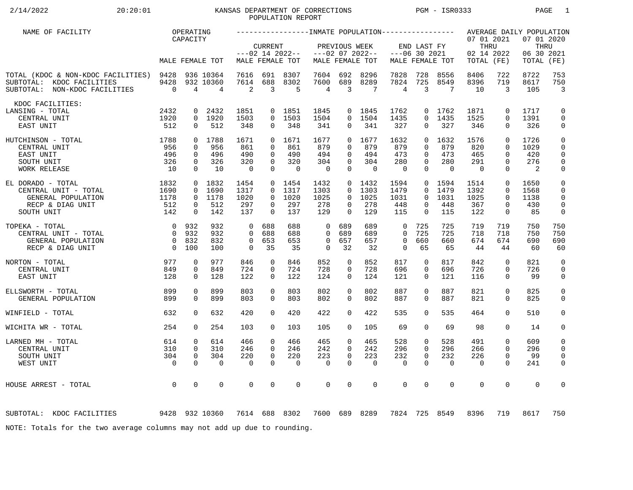# 2/14/2022 20:20:01 KANSAS DEPARTMENT OF CORRECTIONS PGM - ISR0333 PAGE 1 POPULATION REPORT

| NAME OF FACILITY                                                                                      |                                                                 | OPERATING                                          |                                      |                                              |                                                          |                                       |                                              |                                                                |                                        |                                          |                                                          |                                       |                                                |                                                             | AVERAGE DAILY POPULATION                  |                                                               |
|-------------------------------------------------------------------------------------------------------|-----------------------------------------------------------------|----------------------------------------------------|--------------------------------------|----------------------------------------------|----------------------------------------------------------|---------------------------------------|----------------------------------------------|----------------------------------------------------------------|----------------------------------------|------------------------------------------|----------------------------------------------------------|---------------------------------------|------------------------------------------------|-------------------------------------------------------------|-------------------------------------------|---------------------------------------------------------------|
|                                                                                                       |                                                                 | CAPACITY                                           | MALE FEMALE TOT                      |                                              | <b>CURRENT</b>                                           | $---02$ 14 2022--<br>MALE FEMALE TOT  |                                              | PREVIOUS WEEK                                                  | $---02$ 07 2022--<br>MALE FEMALE TOT   |                                          | END LAST FY<br>$---06$ 30 2021                           | MALE FEMALE TOT                       | 07 01 2021<br>THRU<br>02 14 2022<br>TOTAL (FE) |                                                             | 07 01 2020<br>THRU<br>06 30 2021<br>TOTAL | (FE)                                                          |
| TOTAL (KDOC & NON-KDOC FACILITIES) 9428<br>SUBTOTAL: KDOC FACILITIES<br>SUBTOTAL: NON-KDOC FACILITIES | 9428<br>$\overline{0}$                                          | $\overline{4}$                                     | 936 10364<br>932 10360<br>4          | 7616<br>7614<br>2                            | 691<br>688<br>3                                          | 8307<br>8302<br>5                     | 7604<br>7600<br>4                            | 692<br>689<br>$\overline{3}$                                   | 8296<br>8289<br>7                      | 7828<br>7824<br>$\overline{4}$           | 728<br>725<br>3                                          | 8556<br>8549<br>7                     | 8406<br>8396<br>10                             | 722<br>719<br>3                                             | 8722<br>8617<br>105                       | 753<br>750<br>$\overline{3}$                                  |
| KDOC FACILITIES:<br>LANSING - TOTAL<br>CENTRAL UNIT<br>EAST UNIT                                      | 2432<br>1920<br>512                                             | 0<br>$\Omega$                                      | 2432<br>0 1920<br>512                | 1851<br>1503<br>348                          | 0<br>$\Omega$<br>0                                       | 1851<br>1503<br>348                   | 1845<br>1504<br>341                          | $\Omega$<br>0                                                  | 0 1845<br>1504<br>341                  | 1762<br>1435<br>327                      | 0<br>$\Omega$<br>$\Omega$                                | 1762<br>1435<br>327                   | 1871<br>1525<br>346                            | $\mathbf 0$<br>$\Omega$<br>$\Omega$                         | 1717<br>1391<br>326                       | 0<br>$\mathsf{O}$<br>0                                        |
| 1788<br>HUTCHINSON - TOTAL<br>CENTRAL UNIT<br>EAST UNIT<br>SOUTH UNIT<br><b>WORK RELEASE</b>          | 956<br>496<br>326<br>10                                         | $\Omega$<br>$\mathbf 0$<br>$\mathbf 0$<br>$\Omega$ | 0 1788<br>956<br>496<br>326<br>10    | 1671<br>861<br>490<br>320<br>$\overline{0}$  | $\Omega$<br>$\Omega$<br>$\Omega$<br>$\Omega$<br>$\Omega$ | 1671<br>861<br>490<br>320<br>$\Omega$ | 1677<br>879<br>494<br>304<br>$\overline{0}$  | $\Omega$<br>$\Omega$<br>$\mathbf 0$<br>$\mathbf 0$<br>$\Omega$ | 1677<br>879<br>494<br>304<br>$\Omega$  | 1632<br>879<br>473<br>280<br>$\mathbf 0$ | $\Omega$<br>$\Omega$<br>$\Omega$<br>$\Omega$<br>$\Omega$ | 1632<br>879<br>473<br>280<br>$\Omega$ | 1576<br>820<br>465<br>291<br>$\Omega$          | $\Omega$<br>$\Omega$<br>$\Omega$<br>$\mathbf 0$<br>$\Omega$ | 1726<br>1029<br>420<br>276<br>2           | $\mathbf 0$<br>$\mathbf 0$<br>$\mathbf 0$<br>$\mathbf 0$<br>0 |
| EL DORADO - TOTAL<br>CENTRAL UNIT - TOTAL<br>GENERAL POPULATION<br>RECP & DIAG UNIT<br>SOUTH UNIT     | 1832<br>1690<br>1178<br>512<br>142                              | $\mathbf 0$<br>$\mathbf{0}$<br>0<br>$\mathbf 0$    | 0 1832<br>1690<br>1178<br>512<br>142 | 1454<br>1317<br>1020<br>297<br>137           | $\Omega$<br>$\Omega$<br>0<br>$\Omega$                    | 0 1454<br>1317<br>1020<br>297<br>137  | 1432<br>1303<br>1025<br>278<br>129           | $\Omega$<br>$\Omega$<br>$\mathbf{0}$<br>$\Omega$               | $0$ 1432<br>1303<br>1025<br>278<br>129 | 1594<br>1479<br>1031<br>448<br>115       | $\overline{0}$<br>$\Omega$<br>$\Omega$<br>0<br>$\Omega$  | 1594<br>1479<br>1031<br>448<br>115    | 1514<br>1392<br>1025<br>367<br>122             | $\mathbf 0$<br>$\mathbf 0$<br>$\Omega$<br>0<br>$\mathbf 0$  | 1650<br>1568<br>1138<br>430<br>85         | 0<br>0<br>$\mathbf 0$<br>$\mathbf 0$<br>0                     |
| TOPEKA - TOTAL<br>CENTRAL UNIT - TOTAL<br>GENERAL POPULATION<br>RECP & DIAG UNIT                      | $\overline{0}$<br>$\bigcap$<br>$\overline{0}$<br>$\overline{0}$ | 932<br>932<br>832<br>100                           | 932<br>932<br>832<br>100             | $\Omega$<br>$\Omega$<br>$\Omega$<br>$\Omega$ | 688<br>688<br>653<br>35                                  | 688<br>688<br>653<br>35               | $\Omega$<br>$\Omega$<br>$\Omega$<br>$\Omega$ | 689<br>689<br>657<br>32                                        | 689<br>689<br>657<br>32                | 0<br>$\Omega$<br>$\mathbf 0$<br>$\Omega$ | 725<br>725<br>660<br>65                                  | 725<br>725<br>660<br>65               | 719<br>718<br>674<br>44                        | 719<br>718<br>674<br>44                                     | 750<br>750<br>690<br>60                   | 750<br>750<br>690<br>60                                       |
| NORTON - TOTAL<br>CENTRAL UNIT<br>EAST UNIT                                                           | 977<br>849<br>128                                               | $\mathbf 0$<br>$\mathbf 0$<br>$\Omega$             | 977<br>849<br>128                    | 846<br>724<br>122                            | $\mathbf 0$<br>$\Omega$<br>$\Omega$                      | 846<br>724<br>122                     | 852<br>728<br>124                            | $\mathbf 0$<br>0<br>$\Omega$                                   | 852<br>728<br>124                      | 817<br>696<br>121                        | $\mathbf 0$<br>0<br>$\Omega$                             | 817<br>696<br>121                     | 842<br>726<br>116                              | $\Omega$<br>$\mathbf 0$<br>$\Omega$                         | 821<br>726<br>99                          | $\mathbf 0$<br>$\mathbf 0$<br>$\mathbf 0$                     |
| ELLSWORTH - TOTAL<br>GENERAL POPULATION                                                               | 899<br>899                                                      | 0<br>$\mathbf 0$                                   | 899<br>899                           | 803<br>803                                   | 0<br>$\Omega$                                            | 803<br>803                            | 802<br>802                                   | 0<br>0                                                         | 802<br>802                             | 887<br>887                               | 0<br>$\Omega$                                            | 887<br>887                            | 821<br>821                                     | $\mathbf 0$<br>$\mathbf 0$                                  | 825<br>825                                | 0<br>$\mathbf 0$                                              |
| WINFIELD - TOTAL                                                                                      | 632                                                             | $\Omega$                                           | 632                                  | 420                                          | $\Omega$                                                 | 420                                   | 422                                          | $\mathbf 0$                                                    | 422                                    | 535                                      | 0                                                        | 535                                   | 464                                            | $\Omega$                                                    | 510                                       | 0                                                             |
| WICHITA WR - TOTAL                                                                                    | 254                                                             | $\Omega$                                           | 254                                  | 103                                          | $\Omega$                                                 | 103                                   | 105                                          | $\Omega$                                                       | 105                                    | 69                                       | $\Omega$                                                 | 69                                    | 98                                             | $\Omega$                                                    | 14                                        | 0                                                             |
| LARNED MH - TOTAL<br>CENTRAL UNIT<br>SOUTH UNIT<br>WEST UNIT                                          | 614<br>310<br>304<br>$\overline{0}$                             | $\mathbf 0$<br>$\Omega$<br>$\mathbf 0$<br>$\Omega$ | 614<br>310<br>304<br>$\Omega$        | 466<br>246<br>220<br>$\Omega$                | $\Omega$<br>$\Omega$<br>$\Omega$<br>$\Omega$             | 466<br>246<br>220<br>$\mathbf 0$      | 465<br>242<br>223<br>$\mathbf 0$             | 0<br>$\Omega$<br>$\Omega$<br>$\Omega$                          | 465<br>242<br>223<br>$\mathbf 0$       | 528<br>296<br>232<br>$\mathbf 0$         | 0<br>$\Omega$<br>$\Omega$<br>$\Omega$                    | 528<br>296<br>232<br>$\mathbf 0$      | 491<br>266<br>226<br>$\Omega$                  | $\mathbf 0$<br>$\Omega$<br>$\mathbf 0$<br>$\Omega$          | 609<br>296<br>99<br>241                   | $\mathbf 0$<br>$\mathbf 0$<br>$\mathbf 0$<br>$\mathbf 0$      |
| HOUSE ARREST - TOTAL                                                                                  | $\overline{0}$                                                  | $\mathbf 0$                                        | 0                                    | $\Omega$                                     | $\Omega$                                                 | $\mathbf 0$                           | 0                                            | $\mathbf 0$                                                    | $\Omega$                               | $\mathbf 0$                              | $\Omega$                                                 | $\mathbf 0$                           | $\mathbf 0$                                    | $\mathbf 0$                                                 | $\Omega$                                  | $\mathbf 0$                                                   |
| 9428 932 10360<br>SUBTOTAL: KDOC FACILITIES                                                           |                                                                 |                                                    |                                      |                                              |                                                          | 7614 688 8302                         | 7600                                         |                                                                | 689 8289                               | 7824                                     |                                                          | 725 8549                              | 8396                                           | 719                                                         | 8617                                      | 750                                                           |
| NOTE: Totals for the two average columns may not add up due to rounding.                              |                                                                 |                                                    |                                      |                                              |                                                          |                                       |                                              |                                                                |                                        |                                          |                                                          |                                       |                                                |                                                             |                                           |                                                               |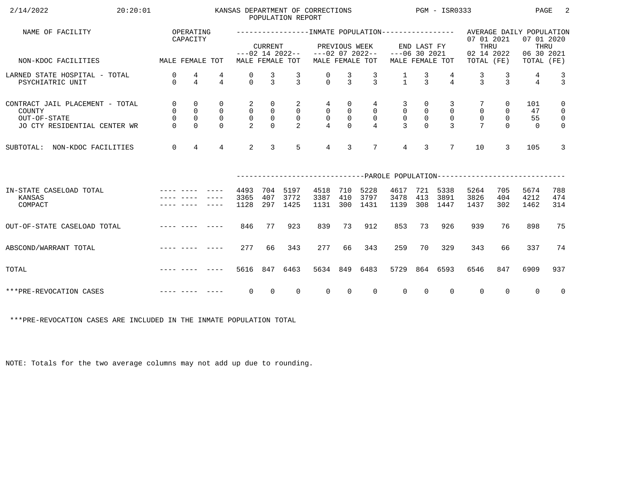| 2/14/2022<br>20:20:01                                                                     |                                                         |                                                               |                                                        |                                                       |                                                                             | POPULATION REPORT                                  | KANSAS DEPARTMENT OF CORRECTIONS               |                                             |                                                                       |                                                   |                                                                 | $PGM - ISR0333$                                       |                                                                                                   |                                                 | PAGE                        | -2                                                                             |
|-------------------------------------------------------------------------------------------|---------------------------------------------------------|---------------------------------------------------------------|--------------------------------------------------------|-------------------------------------------------------|-----------------------------------------------------------------------------|----------------------------------------------------|------------------------------------------------|---------------------------------------------|-----------------------------------------------------------------------|---------------------------------------------------|-----------------------------------------------------------------|-------------------------------------------------------|---------------------------------------------------------------------------------------------------|-------------------------------------------------|-----------------------------|--------------------------------------------------------------------------------|
| NAME OF FACILITY                                                                          |                                                         | OPERATING<br>CAPACITY                                         |                                                        |                                                       | <b>CURRENT</b>                                                              |                                                    |                                                |                                             | PREVIOUS WEEK                                                         |                                                   | END LAST FY                                                     |                                                       | -----------------INMATE POPULATION---------------- AVERAGE DAILY POPULATION<br>07 01 2021<br>THRU |                                                 | 07 01 2020<br>THRU          |                                                                                |
| MALE FEMALE TOT<br>NON-KDOC FACILITIES                                                    |                                                         |                                                               |                                                        |                                                       |                                                                             | MALE FEMALE TOT                                    | $---02$ 14 2022-- $---02$ 07 2022--            |                                             | MALE FEMALE TOT                                                       | $---06$ 30 2021                                   |                                                                 | MALE FEMALE TOT                                       | 02 14 2022<br>TOTAL (FE)                                                                          |                                                 | 06 30 2021<br>TOTAL (FE)    |                                                                                |
| LARNED STATE HOSPITAL - TOTAL<br>PSYCHIATRIC UNIT                                         | 0<br>$\Omega$                                           | $\frac{4}{4}$                                                 | 4<br>$\overline{4}$                                    | 0<br>$\Omega$                                         | $\frac{3}{3}$                                                               | $\frac{3}{3}$                                      | $\frac{0}{0}$                                  | $\frac{3}{3}$                               | $\frac{3}{3}$                                                         | $\frac{1}{1}$                                     | $\frac{3}{3}$                                                   | $\frac{4}{4}$                                         | $\frac{3}{3}$                                                                                     | $\frac{3}{3}$                                   | 4<br>$\overline{4}$         | $\frac{3}{3}$                                                                  |
| CONTRACT JAIL PLACEMENT - TOTAL<br>COUNTY<br>OUT-OF-STATE<br>JO CTY RESIDENTIAL CENTER WR | $\mathsf{O}$<br>$\mathsf{O}$<br>$\mathsf 0$<br>$\Omega$ | $\mathbf 0$<br>$\mathsf 0$<br>$\mathsf{O}\xspace$<br>$\Omega$ | $\mathbf 0$<br>$\mathsf{O}$<br>$\mathbf 0$<br>$\Omega$ | $\overline{a}$<br>0<br>$\mathsf{O}$<br>$\overline{2}$ | $\overline{0}$<br>$\begin{smallmatrix}0\\0\\0\end{smallmatrix}$<br>$\Omega$ | $\overline{a}$<br>$\overline{0}$<br>$\overline{0}$ | 4<br>$\begin{matrix} 0 \\ 0 \\ 4 \end{matrix}$ | 0<br>$\mathsf 0$<br>$\mathsf 0$<br>$\Omega$ | $4\overline{ }$<br>$\overline{0}$<br>$\overline{0}$<br>$\overline{4}$ | 3<br>$\mathsf{O}$<br>$\mathsf{O}$<br>$\mathbf{R}$ | $\overline{0}$<br>$\begin{smallmatrix}0\\0\\0\end{smallmatrix}$ | 3<br>$\overline{0}$<br>$\overline{0}$<br>$\mathbf{R}$ | $\mathsf{O}\xspace$<br>$\mathsf{O}$<br>$\overline{7}$                                             | $\overline{0}$<br>0<br>$\mathsf{O}$<br>$\Omega$ | 101<br>47<br>55<br>$\Omega$ | $\mathsf{O}$<br>$\overline{\mathbf{0}}$<br>$\overline{\mathbf{0}}$<br>$\Omega$ |
| SUBTOTAL: NON-KDOC FACILITIES                                                             | $\overline{0}$                                          | $\overline{4}$                                                | $\overline{4}$                                         | 2                                                     | $\overline{3}$                                                              | $5^{\circ}$                                        | $\overline{4}$                                 | 3                                           | $7\overline{ }$                                                       | $\overline{4}$                                    | $\overline{3}$                                                  | $7\overline{ }$                                       | 10                                                                                                | 3                                               | 105                         | $\mathbf{3}$                                                                   |
|                                                                                           |                                                         |                                                               |                                                        |                                                       |                                                                             |                                                    |                                                |                                             |                                                                       |                                                   |                                                                 |                                                       | ------------------------------PAROLE POPULATION--------------------------                         |                                                 |                             |                                                                                |
| IN-STATE CASELOAD TOTAL<br>KANSAS<br>COMPACT                                              |                                                         |                                                               |                                                        | 4493<br>3365<br>1128                                  | 704<br>407<br>297                                                           | 5197<br>3772<br>1425                               | 4518<br>3387<br>1131                           | 710<br>410<br>300                           | 5228<br>3797<br>1431                                                  | 4617<br>3478<br>1139                              | 413                                                             | 721 5338<br>3891<br>308 1447                          | 5264<br>3826<br>1437                                                                              | 705<br>404<br>302                               | 5674<br>4212<br>1462        | 788<br>474<br>314                                                              |
| OUT-OF-STATE CASELOAD TOTAL                                                               |                                                         |                                                               |                                                        | 846                                                   | 77                                                                          | 923                                                | 839                                            | 73                                          | 912                                                                   | 853                                               | 73                                                              | 926                                                   | 939                                                                                               | 76                                              | 898                         | 75                                                                             |
| ABSCOND/WARRANT TOTAL                                                                     |                                                         |                                                               |                                                        | 277                                                   | 66                                                                          | 343                                                | 277                                            | 66                                          | 343                                                                   | 259                                               | 70                                                              | 329                                                   | 343                                                                                               | 66                                              | 337                         | 74                                                                             |
| TOTAL                                                                                     |                                                         |                                                               |                                                        |                                                       |                                                                             | 5616 847 6463                                      | 5634                                           | 849                                         | 6483                                                                  | 5729                                              |                                                                 | 864 6593                                              | 6546                                                                                              | 847                                             | 6909                        | 937                                                                            |
| ***PRE-REVOCATION CASES                                                                   |                                                         |                                                               |                                                        | $\overline{0}$                                        | $\overline{0}$                                                              | $\Omega$                                           | $\overline{0}$                                 | $\overline{0}$                              | $\Omega$                                                              | $\overline{0}$                                    | $\overline{0}$                                                  | $\mathbf{0}$                                          | $\overline{0}$                                                                                    | $\Omega$                                        | $\Omega$                    | $\overline{0}$                                                                 |

\*\*\*PRE-REVOCATION CASES ARE INCLUDED IN THE INMATE POPULATION TOTAL

NOTE: Totals for the two average columns may not add up due to rounding.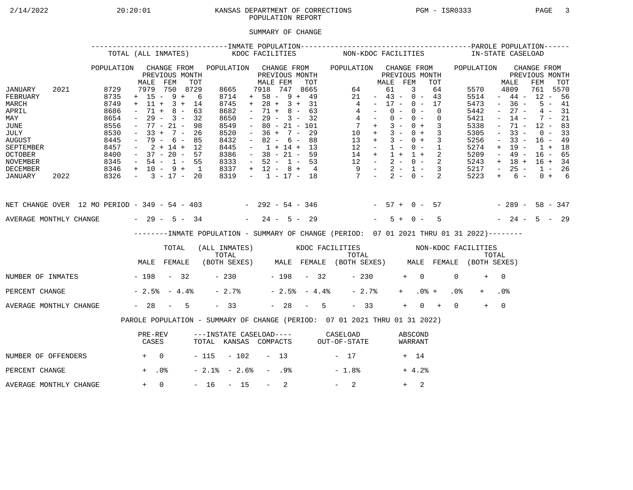# 2/14/2022 20:20:01 KANSAS DEPARTMENT OF CORRECTIONS PGM - ISR0333 PAGE 3 POPULATION REPORT

## SUMMARY OF CHANGE

|                                                                                                                                        |      |                                                                                      | TOTAL (ALL INMATES)                                                                                                                                         |                                                 |                   |                                                                                             | KDOC FACILITIES     |                                                                                                                                                                          |                  |                                                                    |     |                | NON-KDOC FACILITIES                                                                                                                            |                                                                                                 |                                  |                |            |                          |                            |                 | IN-STATE CASELOAD                                                                    |                                                                                                           |                                                                                                       |                                                                                       |                                              |  |
|----------------------------------------------------------------------------------------------------------------------------------------|------|--------------------------------------------------------------------------------------|-------------------------------------------------------------------------------------------------------------------------------------------------------------|-------------------------------------------------|-------------------|---------------------------------------------------------------------------------------------|---------------------|--------------------------------------------------------------------------------------------------------------------------------------------------------------------------|------------------|--------------------------------------------------------------------|-----|----------------|------------------------------------------------------------------------------------------------------------------------------------------------|-------------------------------------------------------------------------------------------------|----------------------------------|----------------|------------|--------------------------|----------------------------|-----------------|--------------------------------------------------------------------------------------|-----------------------------------------------------------------------------------------------------------|-------------------------------------------------------------------------------------------------------|---------------------------------------------------------------------------------------|----------------------------------------------|--|
|                                                                                                                                        |      | POPULATION                                                                           | MALE                                                                                                                                                        | CHANGE FROM<br>PREVIOUS MONTH<br>FEM            | TOT               | POPULATION CHANGE FROM                                                                      |                     | MALE FEM                                                                                                                                                                 |                  | PREVIOUS MONTH                                                     | TOT |                | POPULATION CHANGE FROM                                                                                                                         |                                                                                                 | MALE FEM                         | PREVIOUS MONTH |            |                          | TOT                        |                 | POPULATION                                                                           |                                                                                                           | MALE                                                                                                  | CHANGE FROM<br>PREVIOUS MONTH<br>FEM                                                  | TOT                                          |  |
| JANUARY<br>FEBRUARY<br>MARCH<br>APRIL<br>MAY<br>JUNE<br>JULY<br><b>AUGUST</b><br>SEPTEMBER<br><b>OCTOBER</b><br>NOVEMBER               | 2021 | 8729<br>8735<br>8749<br>8686<br>8654<br>8556<br>8530<br>8445<br>8457<br>8400<br>8345 | $+ 15 - 9 + 6$<br>$+ 11 + 3 + 14$<br>$\sim$<br>$ \,$<br>$-77 - 21 -$<br>$-33 + 7 - 26$<br>$-79 - 6 - 85$<br>$-2+14+12$<br>$-37 - 20 - 57$<br>$-54 - 1 - 55$ | 7979 750 8729<br>$71 + 8 - 63$<br>$29 - 3 - 32$ | 98                | 8665<br>8714<br>8745<br>8682<br>8650<br>8549<br>8520<br>8432<br>8445<br>8386<br>8333        |                     | 7918 747 8665<br>$+ 58 - 9 + 49$<br>$+ 28 + 3 + 31$<br>$\sim$<br>$\sim$ $-$<br>$\sim$<br>$-36 + 7 - 29$<br>$\sim$<br>$-1 + 14 + 13$<br>$-38 - 21 - 59$<br>$-52 - 1 - 53$ |                  | $71 + 8 - 63$<br>$29 - 3 - 32$<br>$80 - 21 - 101$<br>$82 - 6 - 88$ |     |                | $\overline{4}$<br>$\begin{array}{ccccccccc} 14 & + & 1 & + & 1 & + & 2 \\ 12 & - & 2 & - & 0 & - & 2 \\ 9 & - & 2 & - & 1 & - & 3 \end{array}$ | 64<br>21<br>$4 -$<br>$4 -$<br>$7 +$<br>$10 + 3 - 0 + 3$<br>$13 + 3 - 0 + 3$<br>$12 - 1 - 0 - 1$ | $-43 - 0 - 43$<br>$-17 - 0 - 17$ | 61<br>$0 -$    | 3<br>$0 -$ | $0 - 0 -$<br>$3 - 0 + 3$ | 64<br>$\Omega$<br>$\Omega$ |                 | 5570<br>5514<br>5473<br>5442<br>5421<br>5338<br>5305<br>5256<br>5274<br>5209<br>5243 | $\sim$<br>$\sim$<br>$\overline{\phantom{a}}$<br>$\equiv$<br>$\overline{\phantom{a}}$<br>$+$<br>$\sim$ $-$ | 4809<br>$-44-$<br>$-36 -$<br>$27 -$<br>$14 -$<br>71 -<br>$33 -$<br>$33 -$<br>19 -<br>49 -<br>$+ 18 +$ | 761 5570<br>$12 - 56$<br>$12 - 83$<br>$16 - 49$<br>$1 + 18$<br>$16 - 65$<br>$16 + 34$ | $5 - 41$<br>$4 - 31$<br>$7 - 21$<br>$0 - 33$ |  |
| DECEMBER<br>JANUARY                                                                                                                    | 2022 | $8346 + 10 - 9 + 1$<br>$8326 - 3 - 17 - 20$                                          |                                                                                                                                                             |                                                 |                   | 8337<br>8319                                                                                |                     | $+ 12 - 8 + 4$                                                                                                                                                           |                  |                                                                    |     |                | $-1$ $-17$ $-18$ $7$ $-2$ $-0$ $-2$                                                                                                            |                                                                                                 |                                  |                |            |                          |                            |                 | 5217<br>5223                                                                         | $\sim$ $-$<br>$+$                                                                                         | $25 -$<br>$6 -$                                                                                       | $1 - 26$                                                                              | $0 + 6$                                      |  |
| NET CHANGE OVER 12 MO PERIOD - 349 - 54 - 403 - 292 - 54 - 346 - 57 + 0 - 57 - 289 - 58 - 347<br>AVERAGE MONTHLY CHANGE $-29 - 5 - 34$ |      |                                                                                      |                                                                                                                                                             |                                                 |                   |                                                                                             |                     | $-24 - 5 - 29$                                                                                                                                                           |                  |                                                                    |     |                |                                                                                                                                                |                                                                                                 |                                  | $5 + 0 -$      |            |                          | $5^{\circ}$                |                 | $-24 - 5 - 29$                                                                       |                                                                                                           |                                                                                                       |                                                                                       |                                              |  |
|                                                                                                                                        |      |                                                                                      |                                                                                                                                                             |                                                 |                   | --------INMATE POPULATION - SUMMARY OF CHANGE (PERIOD: 07 01 2021 THRU 01 31 2022)--------  |                     |                                                                                                                                                                          |                  |                                                                    |     |                |                                                                                                                                                |                                                                                                 |                                  |                |            |                          |                            |                 |                                                                                      |                                                                                                           |                                                                                                       |                                                                                       |                                              |  |
|                                                                                                                                        |      |                                                                                      |                                                                                                                                                             | TOTAL                                           |                   | (ALL INMATES) WOOC FACILITIES NON-KDOC FACILITIES                                           |                     |                                                                                                                                                                          |                  |                                                                    |     |                |                                                                                                                                                |                                                                                                 |                                  |                |            |                          |                            |                 |                                                                                      |                                                                                                           |                                                                                                       |                                                                                       |                                              |  |
|                                                                                                                                        |      |                                                                                      | MALE FEMALE                                                                                                                                                 |                                                 |                   | TOTAL TOTAL TOTAL TOTAL TOTAL TOTAL TOTAL TOTAL TOTAL (BOTH SEXES) MALE FEMALE (BOTH SEXES) |                     |                                                                                                                                                                          |                  |                                                                    |     |                |                                                                                                                                                |                                                                                                 |                                  |                |            |                          |                            |                 |                                                                                      |                                                                                                           |                                                                                                       |                                                                                       |                                              |  |
| NUMBER OF INMATES - 198 - 32                                                                                                           |      |                                                                                      |                                                                                                                                                             |                                                 |                   |                                                                                             | $-230$ $-198$ $-32$ |                                                                                                                                                                          |                  |                                                                    |     |                |                                                                                                                                                | $-230$                                                                                          |                                  |                | $+ 0$      |                          |                            | $\Omega$        | $+$                                                                                  | $\bigcap$                                                                                                 |                                                                                                       |                                                                                       |                                              |  |
| PERCENT CHANGE                                                                                                                         |      |                                                                                      | $-2.5$ $-4.4$ $-$                                                                                                                                           |                                                 |                   | $-2.7%$                                                                                     |                     |                                                                                                                                                                          |                  |                                                                    |     | $-2.5% - 4.4%$ |                                                                                                                                                | $-2.7%$                                                                                         |                                  |                | $+$ $-$    | $.0%$ +                  |                            | .0 <sub>8</sub> |                                                                                      | .0 <sub>8</sub>                                                                                           |                                                                                                       |                                                                                       |                                              |  |
| AVERAGE MONTHLY CHANGE                                                                                                                 |      |                                                                                      | $-28 - 5$                                                                                                                                                   |                                                 |                   | $-33$                                                                                       |                     |                                                                                                                                                                          |                  |                                                                    |     | $-28 - 5$      |                                                                                                                                                | $-33$                                                                                           |                                  |                | $+$        | $0 +$                    |                            | $\Omega$        | $+$                                                                                  | $\overline{0}$                                                                                            |                                                                                                       |                                                                                       |                                              |  |
|                                                                                                                                        |      |                                                                                      | PAROLE POPULATION - SUMMARY OF CHANGE (PERIOD: 07 01 2021 THRU 01 31 2022)                                                                                  |                                                 |                   |                                                                                             |                     |                                                                                                                                                                          |                  |                                                                    |     |                |                                                                                                                                                |                                                                                                 |                                  |                |            |                          |                            |                 |                                                                                      |                                                                                                           |                                                                                                       |                                                                                       |                                              |  |
|                                                                                                                                        |      |                                                                                      | PRE-REV<br>CASES                                                                                                                                            |                                                 |                   | ---INSTATE CASELOAD---- CASELOAD<br>TOTAL KANSAS COMPACTS OUT-OF-STATE                      |                     |                                                                                                                                                                          |                  |                                                                    |     |                |                                                                                                                                                |                                                                                                 |                                  |                |            | ABSCOND<br>WARRANT       |                            |                 |                                                                                      |                                                                                                           |                                                                                                       |                                                                                       |                                              |  |
| NUMBER OF OFFENDERS                                                                                                                    |      | $+$ 0                                                                                |                                                                                                                                                             |                                                 |                   | $-115 - 102 - 13$                                                                           |                     |                                                                                                                                                                          |                  |                                                                    |     |                | $-17$                                                                                                                                          |                                                                                                 |                                  |                | + 14       |                          |                            |                 |                                                                                      |                                                                                                           |                                                                                                       |                                                                                       |                                              |  |
| PERCENT CHANGE                                                                                                                         |      | $+$ .0%                                                                              |                                                                                                                                                             |                                                 | $-2.1$ % $-2.6$ % |                                                                                             |                     | - .98                                                                                                                                                                    |                  |                                                                    |     | $-1.8%$        |                                                                                                                                                |                                                                                                 |                                  |                | $+4.2%$    |                          |                            |                 |                                                                                      |                                                                                                           |                                                                                                       |                                                                                       |                                              |  |
| AVERAGE MONTHLY CHANGE                                                                                                                 |      |                                                                                      | $+ 0$                                                                                                                                                       |                                                 |                   | $-16 - 15$                                                                                  |                     |                                                                                                                                                                          | $\sim$ 100 $\mu$ | 2                                                                  |     |                | $-2$                                                                                                                                           |                                                                                                 |                                  |                | $+$        | 2                        |                            |                 |                                                                                      |                                                                                                           |                                                                                                       |                                                                                       |                                              |  |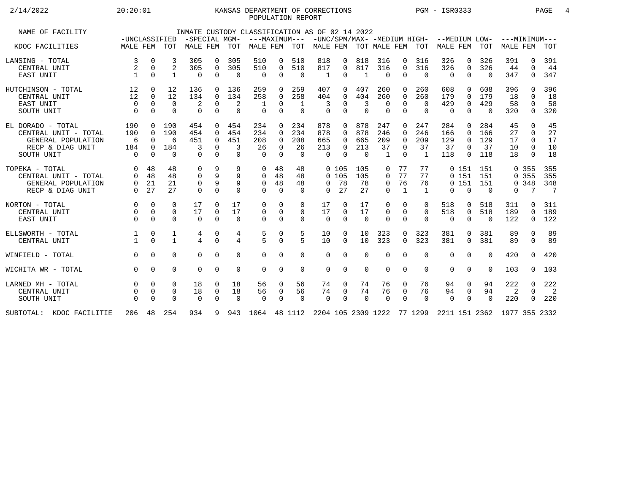## 2/14/2022 20:20:01 KANSAS DEPARTMENT OF CORRECTIONS PGM - ISR0333 PAGE 4 POPULATION REPORT

| NAME OF FACILITY                                                                                  | -UNCLASSIFIED                      |                                                          |                                     |                                    |                                                          | -SPECIAL MGM-                      | INMATE CUSTODY CLASSIFICATION AS OF 02 14 2022                            |                                                   |                                     | ---MAXIMUM--- -UNC/SPM/MAX- -MEDIUM HIGH- --MEDIUM LOW- |                                                        |                                      |                                         |                                                          |                                    |                                  |                                                          |                                | $---MINIMUM---$            |                                                      |                            |
|---------------------------------------------------------------------------------------------------|------------------------------------|----------------------------------------------------------|-------------------------------------|------------------------------------|----------------------------------------------------------|------------------------------------|---------------------------------------------------------------------------|---------------------------------------------------|-------------------------------------|---------------------------------------------------------|--------------------------------------------------------|--------------------------------------|-----------------------------------------|----------------------------------------------------------|------------------------------------|----------------------------------|----------------------------------------------------------|--------------------------------|----------------------------|------------------------------------------------------|----------------------------|
| KDOC FACILITIES                                                                                   | MALE FEM TOT                       |                                                          |                                     | MALE FEM                           |                                                          | TOT                                | MALE FEM                                                                  |                                                   | TOT                                 | MALE FEM TOT MALE FEM TOT                               |                                                        |                                      |                                         |                                                          |                                    | MALE FEM                         |                                                          | TOT                            | <b>MALE FEM</b>            |                                                      | TOT                        |
| LANSING - TOTAL<br>CENTRAL UNIT<br>EAST UNIT                                                      | 3<br>$\mathbf{1}$                  | $\mathbf 0$<br>$\mathbf 0$<br>$\Omega$                   | 3<br>$\overline{2}$<br>$\mathbf{1}$ | 305<br>305<br>$\Omega$             | $\Omega$<br>$\mathbf 0$<br>$\Omega$                      | 305<br>305<br>$\Omega$             | 510<br>510<br>$\Omega$                                                    | 0<br>$\mathbf 0$<br>$\Omega$                      | 510<br>510<br>$\Omega$              | 818<br>817<br>1                                         | $\Omega$<br>0<br>$\Omega$                              | 818<br>817<br>$\mathbf{1}$           | 316<br>316<br>$\Omega$                  | $\Omega$<br>$\Omega$<br>$\Omega$                         | 316<br>316<br>$\Omega$             | 326<br>326<br>$\Omega$           | $\Omega$<br>$\Omega$<br>$\Omega$                         | 326<br>326<br>$\Omega$         | 391<br>44<br>347           | 0<br>$\Omega$<br>$\Omega$                            | 391<br>44<br>347           |
| HUTCHINSON - TOTAL<br>CENTRAL UNIT<br><b>EAST UNIT</b><br>SOUTH UNIT                              | 12<br>12<br>$\Omega$<br>$\Omega$   | $\mathbf 0$<br>$\Omega$<br>$\Omega$<br>$\mathbf 0$       | 12<br>12<br>$\Omega$<br>$\Omega$    | 136<br>134<br>2<br>$\mathbf 0$     | $\Omega$<br>$\Omega$<br>$\Omega$                         | 136<br>134<br>2<br>$\Omega$        | 259<br>258<br>1<br>$\Omega$                                               | 0<br>$\Omega$<br>$\Omega$<br>$\mathbf 0$          | 259<br>258<br>1<br>$\overline{0}$   | 407<br>404<br>3<br>$\Omega$                             | 0<br>0<br>$\Omega$<br>$\Omega$                         | 407<br>404<br>3<br>$\Omega$          | 260<br>260<br>$\Omega$<br>$\mathbf 0$   | $\Omega$<br>$\Omega$<br>$\Omega$<br>$\Omega$             | 260<br>260<br>$\Omega$<br>$\Omega$ | 608<br>179<br>429<br>$\mathbf 0$ | $\Omega$<br>$\Omega$<br>$\Omega$                         | 608<br>179<br>429<br>$\Omega$  | 396<br>18<br>58<br>320     | $\Omega$<br>$\Omega$<br>0                            | 396<br>18<br>58<br>320     |
| EL DORADO - TOTAL<br>CENTRAL UNIT - TOTAL<br>GENERAL POPULATION<br>RECP & DIAG UNIT<br>SOUTH UNIT | 190<br>190<br>6<br>184<br>$\Omega$ | $\Omega$<br>$\Omega$<br>$\Omega$<br>$\Omega$<br>$\Omega$ | 190<br>190<br>6<br>184<br>$\Omega$  | 454<br>454<br>451<br>3<br>$\Omega$ | $\Omega$<br>$\Omega$<br>$\Omega$<br>$\Omega$<br>$\Omega$ | 454<br>454<br>451<br>3<br>$\Omega$ | 234<br>234<br>208<br>26<br>$\cap$                                         | 0<br>$\Omega$<br>$\Omega$<br>$\Omega$<br>$\Omega$ | 234<br>234<br>208<br>26<br>$\Omega$ | 878<br>878<br>665<br>213<br>$\cap$                      | $\Omega$<br>$\Omega$<br>$\Omega$<br>$\Omega$<br>$\cap$ | 878<br>878<br>665<br>213<br>$\Omega$ | 247<br>246<br>209<br>37<br>$\mathbf{1}$ | $\Omega$<br>$\Omega$<br>$\Omega$<br>$\Omega$<br>$\Omega$ | 247<br>246<br>209<br>37<br>1       | 284<br>166<br>129<br>37<br>118   | $\Omega$<br>$\Omega$<br>$\Omega$<br>$\Omega$<br>$\Omega$ | 284<br>166<br>129<br>37<br>118 | 45<br>27<br>17<br>10<br>18 | $\cap$<br>$\Omega$<br>$\Omega$<br>$\Omega$<br>$\cap$ | 45<br>27<br>17<br>10<br>18 |
| TOPEKA - TOTAL<br>CENTRAL UNIT - TOTAL<br>GENERAL POPULATION<br>RECP & DIAG UNIT                  | $\Omega$<br>$\Omega$<br>$\Omega$   | 48<br>48<br>21<br>27                                     | 48<br>48<br>21<br>27                | 0<br>0<br>0<br>0                   | 9<br>9<br>9<br>$\Omega$                                  | 9<br>9<br>$\Omega$                 | 0<br>$\Omega$<br>0<br>$\Omega$                                            | 48<br>48<br>48<br>$\Omega$                        | 48<br>48<br>48<br>$\Omega$          | $\Omega$                                                | 0, 105<br>0, 105<br>0 78<br>27                         | 105<br>105<br>78<br>27               | 0<br>$\Omega$<br>$\Omega$<br>$\Omega$   | 77<br>77<br>76<br>$\mathbf{1}$                           | 77<br>77<br>76<br>$\overline{1}$   | 0                                | 0 151<br>0151<br>0151<br>$\Omega$                        | 151<br>151<br>151<br>$\Omega$  | $\Omega$                   | 0 355<br>0 355<br>0.348<br>7                         | 355<br>355<br>348<br>7     |
| NORTON - TOTAL<br>CENTRAL UNIT<br>EAST UNIT                                                       | $\Omega$<br>$\Omega$<br>$\Omega$   | $\Omega$<br>$\Omega$<br>$\Omega$                         | $\Omega$<br>$\Omega$<br>$\Omega$    | 17<br>17<br>$\Omega$               | $\Omega$<br>$\Omega$<br>$\Omega$                         | 17<br>17<br>$\Omega$               | $\Omega$<br>$\mathbf 0$<br>$\Omega$                                       | $\Omega$<br>$\mathbf 0$<br>$\Omega$               | $\Omega$<br>0<br>$\Omega$           | 17<br>17<br>$\Omega$                                    | $\Omega$<br>$\Omega$<br>$\Omega$                       | 17<br>17<br>$\Omega$                 | $\Omega$<br>$\Omega$<br>$\Omega$        | $\Omega$<br>$\Omega$<br>$\Omega$                         | $\Omega$<br>$\Omega$<br>$\Omega$   | 518<br>518<br>$\Omega$           | 0<br>$\Omega$                                            | 518<br>518<br>$\Omega$         | 311<br>189<br>122          | <sup>n</sup><br>$\Omega$<br>$\Omega$                 | 311<br>189<br>122          |
| ELLSWORTH - TOTAL<br>CENTRAL UNIT                                                                 |                                    | $\mathbf 0$<br>$\cap$                                    | 1<br>$\mathbf{1}$                   | 4<br>4                             | $\mathbf 0$<br>$\Omega$                                  | 4<br>4                             | 5<br>$\overline{5}$                                                       | $\mathbf 0$<br>$\Omega$                           | 5<br>5                              | 10<br>10                                                | 0<br>$\Omega$                                          | 10<br>10                             | 323<br>323                              | $\Omega$<br>$\Omega$                                     | 323<br>323                         | 381<br>381                       | $\Omega$<br>$\Omega$                                     | 381<br>381                     | 89<br>89                   | $\Omega$<br>$\Omega$                                 | 89<br>89                   |
| WINFIELD - TOTAL                                                                                  | $\Omega$                           | $\Omega$                                                 | $\Omega$                            | 0                                  | $\Omega$                                                 | $\Omega$                           | $\Omega$                                                                  | $\Omega$                                          | $\Omega$                            | $\Omega$                                                | $\Omega$                                               | $\Omega$                             | $\Omega$                                | $\Omega$                                                 | $\Omega$                           | $\Omega$                         | $\Omega$                                                 | $\Omega$                       | 420                        | 0                                                    | 420                        |
| WICHITA WR - TOTAL                                                                                | $\Omega$                           | $\Omega$                                                 | $\Omega$                            | 0                                  | $\Omega$                                                 | $\mathbf 0$                        | $\mathbf 0$                                                               | $\mathbf 0$                                       | $\mathbf 0$                         | $\Omega$                                                | 0                                                      | $\mathbf 0$                          | $\mathbf 0$                             | $\mathbf 0$                                              | $\Omega$                           | $\mathbf 0$                      | $\mathbf 0$                                              | $\Omega$                       | 103                        | $\Omega$                                             | 103                        |
| LARNED MH - TOTAL<br>CENTRAL UNIT<br>SOUTH UNIT                                                   | $\mathbf 0$                        | $\mathbf 0$<br>$\Omega$<br>$\Omega$                      | 0<br>$\Omega$<br>$\Omega$           | 18<br>18<br>$\Omega$               | 0<br>0<br>$\Omega$                                       | 18<br>18<br>$\Omega$               | 56<br>56<br>$\Omega$                                                      | 0<br>0<br>$\Omega$                                | 56<br>56<br>$\Omega$                | 74<br>74<br>$\Omega$                                    | 0<br>$\Omega$<br>$\Omega$                              | 74<br>74<br>$\Omega$                 | 76<br>76<br>$\Omega$                    | 0<br>$\Omega$<br>$\Omega$                                | 76<br>76<br>$\Omega$               | 94<br>94<br>$\Omega$             | 0<br>$\overline{0}$<br>$\Omega$                          | 94<br>94<br>$\Omega$           | 222<br>2<br>220            | $\mathbf 0$<br>$\Omega$<br>0                         | 222<br>2<br>220            |
| SUBTOTAL: KDOC FACILITIE                                                                          |                                    |                                                          | 206 48 254                          | 934                                |                                                          |                                    | 9 943 1064 48 1112 2204 105 2309 1222 77 1299 2211 151 2362 1977 355 2332 |                                                   |                                     |                                                         |                                                        |                                      |                                         |                                                          |                                    |                                  |                                                          |                                |                            |                                                      |                            |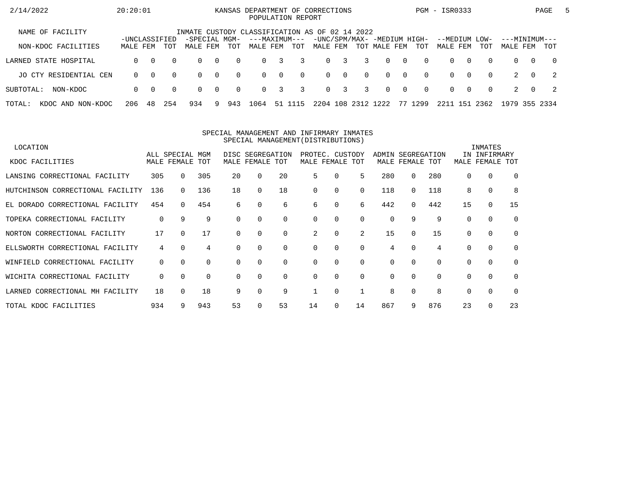| 2/14/2022                   | 20:20:01                  |          |          |                                                |                |          | KANSAS DEPARTMENT OF CORRECTIONS |                         | POPULATION REPORT |          |              |                |                                             |                |          | PGM - ISR0333             |          |          |                           |          | PAGE           | $\mathbf{b}$ |
|-----------------------------|---------------------------|----------|----------|------------------------------------------------|----------------|----------|----------------------------------|-------------------------|-------------------|----------|--------------|----------------|---------------------------------------------|----------------|----------|---------------------------|----------|----------|---------------------------|----------|----------------|--------------|
| NAME OF FACILITY            |                           |          |          | INMATE CUSTODY CLASSIFICATION AS OF 02 14 2022 |                |          |                                  |                         |                   |          |              |                |                                             |                |          |                           |          |          |                           |          |                |              |
| NON-KDOC FACILITIES         | -UNCLASSIFIED<br>MALE FEM |          | TOT      | -SPECIAL MGM-<br>MALE FEM                      |                | TOT      | ---MAXIMUM---<br>MALE FEM        |                         | TOT               | MALE FEM |              |                | -UNC/SPM/MAX- -MEDIUM HIGH-<br>TOT MALE FEM |                | TOT      | --MEDIUM LOW-<br>MALE FEM |          | TOT      | ---MINIMUM---<br>MALE FEM |          | TOT            |              |
| LARNED STATE HOSPITAL       | 0                         | $\Omega$ | $\Omega$ | $\Omega$                                       | $\overline{0}$ | $\Omega$ | $\Omega$                         | $\overline{\mathbf{3}}$ | 3                 |          | $0 \quad 3$  | $\overline{3}$ | $\Omega$                                    | $\cap$         | $\Omega$ | $\Omega$                  | $\Omega$ | $\Omega$ | $\Omega$                  | $\Omega$ | $\overline{0}$ |              |
| JO CTY RESIDENTIAL CEN      | $\Omega$                  | $\Omega$ | $\Omega$ | $\Omega$                                       | $\overline{0}$ | $\Omega$ | $\Omega$                         | $\overline{0}$          | $\Omega$          |          | $0 \qquad 0$ | $\Omega$       | $\Omega$                                    | $\overline{0}$ | $\Omega$ | $\Omega$                  | $\Omega$ | $\Omega$ |                           | $\Omega$ | $\overline{2}$ |              |
| SUBTOTAL:<br>NON-KDOC       | $\Omega$                  | $\Omega$ | $\Omega$ | $\Omega$                                       | $\overline{0}$ | $\Omega$ | $\Omega$                         | $\overline{3}$          | 3                 |          | $0 \quad 3$  | 3              | $\Omega$                                    | $\bigcap$      | $\Omega$ | $\Omega$                  | . റ      | $\Omega$ |                           | $\Omega$ | - 2            |              |
| TOTAL:<br>KDOC AND NON-KDOC | 206                       | 48       | 254      | 934                                            | 9.             | 943      | 1064                             |                         | 51 1115           | 2204     | 108          | 2312 1222      |                                             | 77             | 1299     | 2211                      | 151      | 2362     | 1979 355 2334             |          |                |              |

#### SPECIAL MANAGEMENT AND INFIRMARY INMATESSPECIAL MANAGEMENT(DISTRIBUTIONS)

| LOCATION                         |     |                 |     |          |                  |          |          |                 |          |          |              |          |          | INMATES      |          |
|----------------------------------|-----|-----------------|-----|----------|------------------|----------|----------|-----------------|----------|----------|--------------|----------|----------|--------------|----------|
|                                  |     | ALL SPECIAL MGM |     |          | DISC SEGREGATION |          |          | PROTEC. CUSTODY |          | ADMIN    | SEGREGATION  |          |          | IN INFIRMARY |          |
| KDOC FACILITIES                  |     | MALE FEMALE TOT |     | MALE     | FEMALE TOT       |          |          | MALE FEMALE TOT |          |          | MALE FEMALE  | TOT      | MALE     | FEMALE       | TOT      |
| LANSING CORRECTIONAL FACILITY    | 305 |                 | 305 | 20       | 0                | 20       | 5.       | $\Omega$        | 5        | 280      | <sup>0</sup> | 280      | $\Omega$ | 0            | $\Omega$ |
| HUTCHINSON CORRECTIONAL FACILITY | 136 |                 | 136 | 18       | $\Omega$         | 18       | $\Omega$ | $\Omega$        | 0        | 118      | 0            | 118      | 8        | $\mathbf 0$  | 8        |
| EL DORADO CORRECTIONAL FACILITY  | 454 | $\Omega$        | 454 | 6        | 0                | 6        | 6        | 0               | 6        | 442      | 0            | 442      | 15       | $\mathbf 0$  | 15       |
| TOPEKA CORRECTIONAL FACILITY     | 0   | 9               | 9   |          | 0                | $\Omega$ | $\Omega$ | $\Omega$        | $\Omega$ | 0        | 9            | 9        | $\Omega$ | $\Omega$     | $\Omega$ |
| NORTON CORRECTIONAL FACILITY     | 17  | $\Omega$        | 17  |          |                  | $\Omega$ | 2        | $\Omega$        | 2        | 15       | $\Omega$     | 15       | $\Omega$ | $\Omega$     | $\Omega$ |
| ELLSWORTH CORRECTIONAL FACILITY  | 4   | $\Omega$        | 4   |          |                  | $\Omega$ | $\Omega$ | $\Omega$        | $\Omega$ | 4        | $\Omega$     | 4        |          | $\Omega$     | $\Omega$ |
| WINFIELD CORRECTIONAL FACILITY   | 0   | $\Omega$        | 0   | $\Omega$ | 0                | 0        | 0        | 0               | 0        | 0        | 0            | $\Omega$ | $\Omega$ | 0            | 0        |
| WICHITA CORRECTIONAL FACILITY    | 0   | $\Omega$        | 0   | $\Omega$ | $\Omega$         | $\Omega$ | $\Omega$ | $\Omega$        | $\Omega$ | $\Omega$ | $\Omega$     | $\Omega$ | $\Omega$ | $\Omega$     | $\Omega$ |
| LARNED CORRECTIONAL MH FACILITY  | 18  | $\Omega$        | 18  | 9        |                  | 9        |          | $\Omega$        |          | 8        |              | 8        |          | $\Omega$     | $\Omega$ |
| TOTAL KDOC FACILITIES            | 934 |                 | 943 | 53       |                  | 53       | 14       | $\Omega$        | 14       | 867      | 9            | 876      | 23       | $\Omega$     | 23       |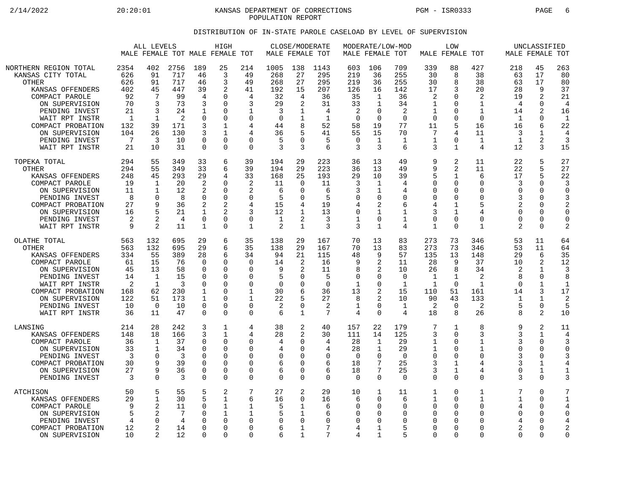2/14/2022 20:20:01 KANSAS DEPARTMENT OF CORRECTIONS PGM - ISR0333 PAGE 6 POPULATION REPORT

## DISTRIBUTION OF IN-STATE PAROLE CASELOAD BY LEVEL OF SUPERVISION

|                                                                                                                                                                                                                                   | ALL LEVELS<br>MALE FEMALE TOT MALE FEMALE TOT                                        |                                                                  |                                                                            |                                                                                       | HIGH                                                                                                            |                                                                                                  |                                                                                 | CLOSE/MODERATE<br>MALE FEMALE TOT                          |                                                                                  |                                                                                       | MALE FEMALE TOT                                                                                 | MODERATE/LOW-MOD                                                               |                                                                       | <b>LOW</b><br>MALE FEMALE TOT                                                                      |                                                                                                             |                                                                                          | UNCLASSIFIED<br>MALE FEMALE TOT                                                                  |                                                                                           |
|-----------------------------------------------------------------------------------------------------------------------------------------------------------------------------------------------------------------------------------|--------------------------------------------------------------------------------------|------------------------------------------------------------------|----------------------------------------------------------------------------|---------------------------------------------------------------------------------------|-----------------------------------------------------------------------------------------------------------------|--------------------------------------------------------------------------------------------------|---------------------------------------------------------------------------------|------------------------------------------------------------|----------------------------------------------------------------------------------|---------------------------------------------------------------------------------------|-------------------------------------------------------------------------------------------------|--------------------------------------------------------------------------------|-----------------------------------------------------------------------|----------------------------------------------------------------------------------------------------|-------------------------------------------------------------------------------------------------------------|------------------------------------------------------------------------------------------|--------------------------------------------------------------------------------------------------|-------------------------------------------------------------------------------------------|
| NORTHERN REGION TOTAL<br>KANSAS CITY TOTAL<br><b>OTHER</b><br>KANSAS OFFENDERS<br>COMPACT PAROLE<br>ON SUPERVISION<br>PENDING INVEST<br>WAIT RPT INSTR<br>COMPACT PROBATION<br>ON SUPERVISION<br>PENDING INVEST<br>WAIT RPT INSTR | 2354<br>626<br>626<br>402<br>92<br>70<br>21<br>$\mathbf{1}$<br>132<br>104<br>7<br>21 | 402<br>91<br>91<br>45<br>7<br>3<br>3<br>1<br>39<br>26<br>3<br>10 | 2756<br>717<br>717<br>447<br>99<br>73<br>24<br>2<br>171<br>130<br>10<br>31 | 189<br>46<br>46<br>39<br>4<br>3<br>1<br>$\Omega$<br>3<br>3<br>$\Omega$<br>$\mathbf 0$ | 25<br>3<br>3<br>2<br><sup>0</sup><br>$\Omega$<br>0<br>0<br>$\mathbf{1}$<br>$\mathbf{1}$<br>$\Omega$<br>$\Omega$ | 214<br>49<br>49<br>41<br>4<br>3<br>$\mathbf{1}$<br>$\mathbf 0$<br>4<br>4<br>$\Omega$<br>$\Omega$ | 1005<br>268<br>268<br>192<br>32<br>29<br>3<br>$\mathbf 0$<br>44<br>36<br>5<br>3 | 138<br>27<br>27<br>15<br>4<br>2<br>1<br>5<br>$\Omega$<br>3 | 1143<br>295<br>295<br>207<br>36<br>31<br>4<br>$\mathbf{1}$<br>52<br>41<br>5<br>6 | 603<br>219<br>219<br>126<br>35<br>33<br>2<br>$\mathbf 0$<br>58<br>55<br>$\Omega$<br>3 | 106<br>36<br>36<br>16<br>1<br>$\mathbf{1}$<br>0<br>$\mathbf 0$<br>19<br>15<br>$\mathbf{1}$<br>3 | 709<br>255<br>255<br>142<br>36<br>34<br>2<br>$\mathbf 0$<br>77<br>70<br>1<br>6 | 339<br>30<br>30<br>17<br>2<br>1<br>1<br>$\Omega$<br>11<br>7<br>1<br>3 | 88<br>8<br>8<br>3<br>$\Omega$<br>0<br>$\Omega$<br>$\mathbf 0$<br>5<br>4<br>$\Omega$<br>$\mathbf 1$ | 427<br>38<br>38<br>20<br>$\overline{c}$<br>$\mathbf 1$<br>1<br>$\mathbf 0$<br>16<br>11<br>$\mathbf{1}$<br>4 | 218<br>63<br>63<br>28<br>19<br>$\overline{4}$<br>14<br>$\mathbf 1$<br>16<br>3<br>1<br>12 | 45<br>17<br>17<br>9<br>$\overline{2}$<br>0<br>2<br>0<br>6<br>$\mathbf{1}$<br>$\overline{a}$<br>3 | 263<br>80<br>80<br>37<br>21<br>$\overline{4}$<br>16<br>$\mathbf{1}$<br>22<br>4<br>3<br>15 |
| TOPEKA TOTAL                                                                                                                                                                                                                      | 294                                                                                  | 55                                                               | 349                                                                        | 33                                                                                    | 6                                                                                                               | 39                                                                                               | 194                                                                             | 29                                                         | 223                                                                              | 36                                                                                    | 13                                                                                              | 49                                                                             | 9                                                                     | 2                                                                                                  | 11                                                                                                          | 22                                                                                       | 5                                                                                                | 27                                                                                        |
| <b>OTHER</b>                                                                                                                                                                                                                      | 294                                                                                  | 55                                                               | 349                                                                        | 33                                                                                    | 6                                                                                                               | 39                                                                                               | 194                                                                             | 29                                                         | 223                                                                              | 36                                                                                    | 13                                                                                              | 49                                                                             | 9                                                                     | $\overline{2}$                                                                                     | 11                                                                                                          | 22                                                                                       | 5                                                                                                | 27                                                                                        |
| KANSAS OFFENDERS                                                                                                                                                                                                                  | 248                                                                                  | 45                                                               | 293                                                                        | 29                                                                                    | 4                                                                                                               | 33                                                                                               | 168                                                                             | 25                                                         | 193                                                                              | 29                                                                                    | 10                                                                                              | 39                                                                             | 5                                                                     | $\mathbf 1$                                                                                        | 6                                                                                                           | 17                                                                                       | 5                                                                                                | 22                                                                                        |
| COMPACT PAROLE                                                                                                                                                                                                                    | 19                                                                                   | 1                                                                | 20                                                                         | 2                                                                                     | O                                                                                                               | 2                                                                                                | 11                                                                              | $\Omega$                                                   | 11                                                                               | 3                                                                                     | 1                                                                                               | 4                                                                              | $\Omega$                                                              | $\Omega$                                                                                           | $\Omega$                                                                                                    | 3                                                                                        | $\Omega$                                                                                         | 3                                                                                         |
| ON SUPERVISION                                                                                                                                                                                                                    | 11                                                                                   | 1                                                                | 12                                                                         | 2                                                                                     | $\Omega$                                                                                                        | 2                                                                                                | 6                                                                               | $\Omega$                                                   | 6                                                                                | 3                                                                                     | 1                                                                                               | 4                                                                              | $\mathbf 0$                                                           | 0                                                                                                  | $\Omega$                                                                                                    | $\Omega$                                                                                 | 0                                                                                                | $\Omega$                                                                                  |
| PENDING INVEST                                                                                                                                                                                                                    | 8                                                                                    | 0                                                                | 8                                                                          | $\Omega$                                                                              | $\Omega$                                                                                                        | $\Omega$                                                                                         | 5                                                                               | $\Omega$                                                   | 5                                                                                | 0                                                                                     | 0                                                                                               | $\Omega$                                                                       | $\Omega$                                                              | 0                                                                                                  | $\Omega$                                                                                                    | 3                                                                                        | O                                                                                                | 3                                                                                         |
| COMPACT PROBATION                                                                                                                                                                                                                 | 27                                                                                   | 9                                                                | 36                                                                         | 2                                                                                     | 2                                                                                                               | 4                                                                                                | 15                                                                              | 4                                                          | 19                                                                               | $\overline{4}$                                                                        | 2                                                                                               | 6                                                                              | 4                                                                     | $\mathbf{1}$                                                                                       | 5                                                                                                           | $\overline{2}$                                                                           | 0                                                                                                | 2                                                                                         |
| ON SUPERVISION                                                                                                                                                                                                                    | 16                                                                                   | 5                                                                | 21                                                                         | 1                                                                                     | 2                                                                                                               | 3                                                                                                | 12                                                                              | 1                                                          | 13                                                                               | 0                                                                                     | 1                                                                                               | 1                                                                              | 3                                                                     | 1                                                                                                  | $\overline{4}$                                                                                              | $\Omega$                                                                                 | O                                                                                                | $\Omega$                                                                                  |
| PENDING INVEST                                                                                                                                                                                                                    | 2                                                                                    | 2                                                                | 4                                                                          | $\mathbf 0$                                                                           | $\Omega$                                                                                                        | $\mathbf 0$                                                                                      | 1                                                                               | 2                                                          | 3                                                                                | $\mathbf 1$                                                                           | 0                                                                                               | 1                                                                              | $\mathbf 0$                                                           | $\mathbf 0$                                                                                        | $\Omega$                                                                                                    | $\Omega$                                                                                 | 0                                                                                                | $\mathbf 0$                                                                               |
| WAIT RPT INSTR                                                                                                                                                                                                                    | 9                                                                                    | 2                                                                | 11                                                                         | 1                                                                                     | $\Omega$                                                                                                        | $\mathbf{1}$                                                                                     | $\overline{2}$                                                                  | 1                                                          | 3                                                                                | 3                                                                                     | $\mathbf{1}$                                                                                    | 4                                                                              | 1                                                                     | $\Omega$                                                                                           | 1                                                                                                           | 2                                                                                        | 0                                                                                                | 2                                                                                         |
| OLATHE TOTAL                                                                                                                                                                                                                      | 563                                                                                  | 132                                                              | 695                                                                        | 29                                                                                    | 6                                                                                                               | 35                                                                                               | 138                                                                             | 29                                                         | 167                                                                              | 70                                                                                    | 13                                                                                              | 83                                                                             | 273                                                                   | 73                                                                                                 | 346                                                                                                         | 53                                                                                       | 11                                                                                               | 64                                                                                        |
| <b>OTHER</b>                                                                                                                                                                                                                      | 563                                                                                  | 132                                                              | 695                                                                        | 29                                                                                    | 6                                                                                                               | 35                                                                                               | 138                                                                             | 29                                                         | 167                                                                              | 70                                                                                    | 13                                                                                              | 83                                                                             | 273                                                                   | 73                                                                                                 | 346                                                                                                         | 53                                                                                       | 11                                                                                               | 64                                                                                        |
| KANSAS OFFENDERS                                                                                                                                                                                                                  | 334                                                                                  | 55                                                               | 389                                                                        | 28                                                                                    | 6                                                                                                               | 34                                                                                               | 94                                                                              | 21                                                         | 115                                                                              | 48                                                                                    | 9                                                                                               | 57                                                                             | 135                                                                   | 13                                                                                                 | 148                                                                                                         | 29                                                                                       | 6                                                                                                | 35                                                                                        |
| COMPACT PAROLE                                                                                                                                                                                                                    | 61                                                                                   | 15                                                               | 76                                                                         | $\Omega$                                                                              | $\Omega$                                                                                                        | $\mathbf 0$                                                                                      | 14                                                                              | 2                                                          | 16                                                                               | 9                                                                                     | 2                                                                                               | 11                                                                             | 28                                                                    | 9                                                                                                  | 37                                                                                                          | 10                                                                                       | 2                                                                                                | 12                                                                                        |
| ON SUPERVISION                                                                                                                                                                                                                    | 45                                                                                   | 13                                                               | 58                                                                         | 0                                                                                     | 0                                                                                                               | $\Omega$                                                                                         | 9                                                                               | 2                                                          | 11                                                                               | 8                                                                                     | 2                                                                                               | 10                                                                             | 26                                                                    | 8                                                                                                  | 34                                                                                                          | 2                                                                                        | 1                                                                                                | 3                                                                                         |
| PENDING INVEST                                                                                                                                                                                                                    | 14                                                                                   | $\mathbf{1}$                                                     | 15                                                                         | $\Omega$                                                                              | $\Omega$                                                                                                        | $\Omega$                                                                                         | 5                                                                               | $\Omega$                                                   | 5                                                                                | $\mathbf 0$                                                                           | 0                                                                                               | $\Omega$                                                                       | 1                                                                     | $\mathbf 1$                                                                                        | 2                                                                                                           | 8                                                                                        | 0                                                                                                | 8                                                                                         |
| WAIT RPT INSTR                                                                                                                                                                                                                    | 2                                                                                    | 1                                                                | 3                                                                          | $\Omega$                                                                              | $\Omega$                                                                                                        | $\Omega$                                                                                         | $\Omega$                                                                        | O                                                          | $\Omega$                                                                         | 1                                                                                     | 0                                                                                               | 1                                                                              | 1                                                                     | $\Omega$                                                                                           | 1                                                                                                           | $\Omega$                                                                                 | 1                                                                                                | $\mathbf 1$                                                                               |
| COMPACT PROBATION                                                                                                                                                                                                                 | 168                                                                                  | 62                                                               | 230                                                                        | 1                                                                                     | 0                                                                                                               | $\mathbf 1$                                                                                      | 30                                                                              | 6                                                          | 36                                                                               | 13                                                                                    | 2                                                                                               | 15                                                                             | 110                                                                   | 51                                                                                                 | 161                                                                                                         | 14                                                                                       | 3                                                                                                | 17                                                                                        |
| ON SUPERVISION                                                                                                                                                                                                                    | 122                                                                                  | 51                                                               | 173                                                                        | 1                                                                                     | $\Omega$                                                                                                        | 1                                                                                                | 22                                                                              | 5                                                          | 27                                                                               | 8                                                                                     | 2                                                                                               | 10                                                                             | 90                                                                    | 43                                                                                                 | 133                                                                                                         | 1                                                                                        | $\mathbf{1}$                                                                                     | 2                                                                                         |
| PENDING INVEST                                                                                                                                                                                                                    | 10                                                                                   | $\Omega$                                                         | 10                                                                         | $\Omega$                                                                              | $\Omega$                                                                                                        | $\mathbf 0$                                                                                      | 2                                                                               | $\mathbf 0$                                                | 2                                                                                | 1                                                                                     | 0                                                                                               | $\mathbf 1$                                                                    | 2                                                                     | $\overline{0}$                                                                                     | 2                                                                                                           | 5                                                                                        | 0                                                                                                | 5                                                                                         |
| WAIT RPT INSTR                                                                                                                                                                                                                    | 36                                                                                   | 11                                                               | 47                                                                         | $\Omega$                                                                              | $\Omega$                                                                                                        | $\Omega$                                                                                         | 6                                                                               | $\mathbf{1}$                                               | 7                                                                                | 4                                                                                     | $\Omega$                                                                                        | 4                                                                              | 18                                                                    | 8                                                                                                  | 26                                                                                                          | 8                                                                                        | 2                                                                                                | 10                                                                                        |
| LANSING                                                                                                                                                                                                                           | 214                                                                                  | 28                                                               | 242                                                                        | 3                                                                                     | 1                                                                                                               | 4                                                                                                | 38                                                                              | 2                                                          | 40                                                                               | 157                                                                                   | 22                                                                                              | 179                                                                            | 7                                                                     | 1                                                                                                  | 8                                                                                                           | 9                                                                                        | 2                                                                                                | 11                                                                                        |
| KANSAS OFFENDERS                                                                                                                                                                                                                  | 148                                                                                  | 18                                                               | 166                                                                        | 3                                                                                     | $\mathbf{1}$                                                                                                    | 4                                                                                                | 28                                                                              | $\overline{2}$                                             | 30                                                                               | 111                                                                                   | 14                                                                                              | 125                                                                            | 3                                                                     | $\mathbf 0$                                                                                        | 3                                                                                                           | 3                                                                                        | $\mathbf{1}$                                                                                     | 4                                                                                         |
| COMPACT PAROLE                                                                                                                                                                                                                    | 36                                                                                   | 1                                                                | 37                                                                         | $\Omega$                                                                              | $\Omega$                                                                                                        | 0                                                                                                | 4                                                                               | 0                                                          | 4                                                                                | 28                                                                                    | $\mathbf{1}$                                                                                    | 29                                                                             | 1                                                                     | $\Omega$                                                                                           | 1                                                                                                           | 3                                                                                        | $\Omega$                                                                                         | 3                                                                                         |
| ON SUPERVISION                                                                                                                                                                                                                    | 33                                                                                   | 1                                                                | 34                                                                         | $\Omega$                                                                              | 0                                                                                                               | $\Omega$                                                                                         | 4                                                                               | $\Omega$                                                   | 4                                                                                | 28                                                                                    | $\mathbf{1}$                                                                                    | 29                                                                             | 1                                                                     | $\Omega$                                                                                           | 1                                                                                                           | $\Omega$                                                                                 | 0                                                                                                | $\Omega$                                                                                  |
| PENDING INVEST                                                                                                                                                                                                                    | 3                                                                                    | $\Omega$                                                         | 3                                                                          | $\Omega$                                                                              | $\Omega$                                                                                                        | $\Omega$                                                                                         | $\Omega$                                                                        | $\Omega$                                                   | $\Omega$                                                                         | $\Omega$                                                                              | $\Omega$                                                                                        | $\Omega$                                                                       | $\Omega$                                                              | $\Omega$                                                                                           | $\Omega$                                                                                                    | 3                                                                                        | O                                                                                                | 3                                                                                         |
| COMPACT PROBATION                                                                                                                                                                                                                 | 30                                                                                   | 9                                                                | 39                                                                         | $\Omega$                                                                              | $\Omega$                                                                                                        | $\mathbf 0$                                                                                      | 6                                                                               | $\Omega$                                                   | 6                                                                                | 18                                                                                    | 7                                                                                               | 25                                                                             | 3                                                                     | $\mathbf 1$                                                                                        | $\overline{4}$                                                                                              | 3                                                                                        | 1                                                                                                | 4                                                                                         |
| ON SUPERVISION                                                                                                                                                                                                                    | 27                                                                                   | 9                                                                | 36                                                                         | $\Omega$                                                                              | $\Omega$                                                                                                        | $\Omega$                                                                                         | 6                                                                               | $\Omega$                                                   | 6                                                                                | 18                                                                                    | 7                                                                                               | 25                                                                             | 3                                                                     | $\mathbf 1$                                                                                        | $\overline{4}$                                                                                              | $\Omega$                                                                                 | $\mathbf{1}$                                                                                     | 1                                                                                         |
| PENDING INVEST                                                                                                                                                                                                                    | 3                                                                                    | $\Omega$                                                         | 3                                                                          | $\Omega$                                                                              | $\Omega$                                                                                                        | $\Omega$                                                                                         | $\Omega$                                                                        | $\Omega$                                                   | $\Omega$                                                                         | $\Omega$                                                                              | $\Omega$                                                                                        | $\Omega$                                                                       | $\Omega$                                                              | $\Omega$                                                                                           | $\Omega$                                                                                                    | 3                                                                                        | U                                                                                                | 3                                                                                         |
| <b>ATCHISON</b><br>KANSAS OFFENDERS<br>COMPACT PAROLE<br>ON SUPERVISION<br>PENDING INVEST<br>COMPACT PROBATION<br>ON SUPERVISION                                                                                                  | 50<br>29<br>9<br>5<br>4<br>12<br>10                                                  | 5<br>1<br>2<br>2<br>$\mathbf 0$<br>2<br>$\overline{2}$           | 55<br>30<br>11<br>7<br>4<br>14<br>12                                       | 5<br>5<br>$\Omega$<br>$\Omega$<br>$\Omega$<br>$\Omega$<br>$\Omega$                    | 2<br>1<br>$\mathbf{1}$<br>$\Omega$<br>$\Omega$<br>$\Omega$                                                      | 7<br>6<br>1<br>1<br>$\Omega$<br>$\Omega$<br>$\Omega$                                             | 27<br>16<br>5<br>5<br>$\mathbf 0$<br>6<br>6                                     | 2<br>$\Omega$<br>1<br>-1<br>$\Omega$<br>1<br>1             | 29<br>16<br>6<br>6<br>$\Omega$<br>7<br>7                                         | 10<br>6<br>$\mathbf 0$<br>$\Omega$<br>$\mathbf 0$<br>4<br>4                           | $\mathbf{1}$<br>$\Omega$<br>0<br>$\Omega$<br>0<br>1<br>1                                        | 11<br>6<br>$\mathbf 0$<br>$\Omega$<br>$\Omega$<br>5<br>5                       | 1<br>1<br>$\mathbf 0$<br>$\Omega$<br>$\Omega$<br>$\Omega$<br>$\Omega$ | $\mathbf 0$<br>$\Omega$<br>$\mathbf 0$<br>$\Omega$<br>$\Omega$<br>$\Omega$<br>$\Omega$             | 1<br>1<br>$\Omega$<br>$\Omega$<br>$\Omega$<br>$\Omega$<br>$\Omega$                                          | 7<br>1<br>4<br>$\Omega$<br>4<br>2<br>$\Omega$                                            | 0<br>$\Omega$<br>0<br>O<br>O<br>O<br>0                                                           | 7<br>$\mathbf 1$<br>4<br>$\Omega$<br>4<br>2<br>$\Omega$                                   |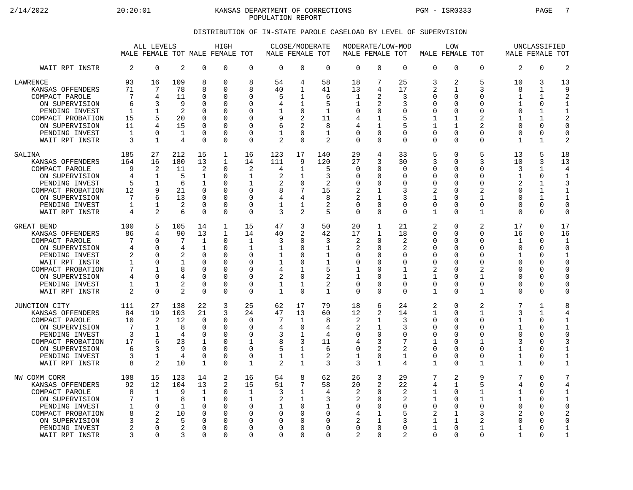2/14/2022 20:20:01 KANSAS DEPARTMENT OF CORRECTIONS PGM - ISR0333 PAGE 7 POPULATION REPORT

## DISTRIBUTION OF IN-STATE PAROLE CASELOAD BY LEVEL OF SUPERVISION

|                                                                                                                                                                    | ALL LEVELS<br>MALE FEMALE TOT MALE FEMALE TOT  |                                                       |                                                  |                                                                                                            | HIGH                                                                               |                                                                            | MALE FEMALE TOT                             | CLOSE/MODERATE                                                                      |                                              | MODERATE/LOW-MOD<br>MALE FEMALE TOT                       |                                                                   |                                                    |                                                                                     | <b>LOW</b><br>MALE FEMALE TOT                           |                                                                                 | MALE FEMALE TOT                                                                 | UNCLASSIFIED                                                              |                                                                                                                 |
|--------------------------------------------------------------------------------------------------------------------------------------------------------------------|------------------------------------------------|-------------------------------------------------------|--------------------------------------------------|------------------------------------------------------------------------------------------------------------|------------------------------------------------------------------------------------|----------------------------------------------------------------------------|---------------------------------------------|-------------------------------------------------------------------------------------|----------------------------------------------|-----------------------------------------------------------|-------------------------------------------------------------------|----------------------------------------------------|-------------------------------------------------------------------------------------|---------------------------------------------------------|---------------------------------------------------------------------------------|---------------------------------------------------------------------------------|---------------------------------------------------------------------------|-----------------------------------------------------------------------------------------------------------------|
| WAIT RPT INSTR                                                                                                                                                     | 2                                              | $\mathbf 0$                                           | 2                                                | $\mathbf 0$                                                                                                | 0                                                                                  | $\mathbf 0$                                                                | $\mathbf 0$                                 | $\mathbf 0$                                                                         | $\mathbf 0$                                  | $\mathbf 0$                                               | 0                                                                 | $\mathbf 0$                                        | $\mathbf 0$                                                                         | $\mathbf 0$                                             | $\Omega$                                                                        | 2                                                                               | 0                                                                         | $\overline{2}$                                                                                                  |
| LAWRENCE                                                                                                                                                           | 93                                             | 16                                                    | 109                                              | 8                                                                                                          | $\Omega$                                                                           | 8                                                                          | 54                                          | 4                                                                                   | 58                                           | 18                                                        | 7                                                                 | 25                                                 | 3                                                                                   | 2                                                       | 5                                                                               | 10                                                                              | 3                                                                         | 13                                                                                                              |
| KANSAS OFFENDERS                                                                                                                                                   | 71                                             | 7                                                     | 78                                               | 8                                                                                                          | $\Omega$                                                                           | 8                                                                          | 40                                          | 1                                                                                   | 41                                           | 13                                                        | 4                                                                 | 17                                                 | 2                                                                                   | 1                                                       | 3                                                                               | 8                                                                               | $\mathbf{1}$                                                              | 9                                                                                                               |
| COMPACT PAROLE                                                                                                                                                     | 7                                              | 4                                                     | 11                                               | $\Omega$                                                                                                   | 0                                                                                  | $\Omega$                                                                   | 5                                           | 1                                                                                   | 6                                            | 1                                                         | 2                                                                 | 3                                                  | $\mathbf 0$                                                                         | U                                                       | $\Omega$                                                                        | 1                                                                               | $\mathbf{1}$                                                              | $\overline{c}$                                                                                                  |
| ON SUPERVISION                                                                                                                                                     | 6                                              | 3                                                     | 9                                                | $\Omega$                                                                                                   | 0                                                                                  | $\Omega$                                                                   | 4                                           | 1                                                                                   | 5                                            | 1                                                         | 2                                                                 | 3                                                  | $\Omega$                                                                            | O                                                       | $\Omega$                                                                        | 1                                                                               | 0                                                                         | $\mathbf{1}$                                                                                                    |
| PENDING INVEST                                                                                                                                                     | 1                                              | 1                                                     | 2                                                | $\Omega$                                                                                                   | 0                                                                                  | ∩                                                                          | 1                                           | $\mathbf 0$                                                                         | $\mathbf{1}$                                 | 0                                                         | 0                                                                 | 0                                                  | $\mathbf 0$                                                                         | 0                                                       | $\Omega$                                                                        | 0                                                                               | $\mathbf{1}$                                                              | $\mathbf{1}$                                                                                                    |
| COMPACT PROBATION                                                                                                                                                  | 15                                             | 5                                                     | 20                                               | $\Omega$                                                                                                   | $\Omega$                                                                           | $\Omega$                                                                   | 9                                           | $\overline{2}$                                                                      | 11                                           | 4                                                         | 1                                                                 | 5                                                  | 1                                                                                   | 1                                                       | 2                                                                               | 1                                                                               | 1                                                                         | $\overline{2}$                                                                                                  |
| ON SUPERVISION                                                                                                                                                     | 11                                             | 4                                                     | 15                                               | $\Omega$                                                                                                   | 0                                                                                  | $\Omega$                                                                   | 6                                           | $\mathcal{D}$                                                                       | 8                                            | 4                                                         | 1                                                                 | 5                                                  | 1                                                                                   | 1                                                       | 2                                                                               | $\Omega$                                                                        | 0                                                                         | 0                                                                                                               |
| PENDING INVEST                                                                                                                                                     | 1                                              | $\Omega$                                              | $\mathbf{1}$                                     | $\Omega$                                                                                                   | $\mathbf 0$                                                                        | $\Omega$                                                                   | $\mathbf{1}$                                | $\Omega$                                                                            | $\mathbf{1}$                                 | 0                                                         | $\Omega$                                                          | $\mathbf 0$                                        | $\mathbf 0$                                                                         | $\Omega$                                                | $\Omega$                                                                        | $\Omega$                                                                        | 0                                                                         | $\mathbf 0$                                                                                                     |
| WAIT RPT INSTR                                                                                                                                                     | 3                                              | 1                                                     | 4                                                | $\Omega$                                                                                                   | $\Omega$                                                                           | $\Omega$                                                                   | 2                                           | $\Omega$                                                                            | 2                                            | $\Omega$                                                  | $\Omega$                                                          | $\Omega$                                           | $\Omega$                                                                            | $\Omega$                                                | $\Omega$                                                                        | 1                                                                               | $\mathbf{1}$                                                              | $\overline{2}$                                                                                                  |
| SALINA                                                                                                                                                             | 185                                            | 27                                                    | 212                                              | 15                                                                                                         | 1                                                                                  | 16                                                                         | 123                                         | 17                                                                                  | 140                                          | 29                                                        | 4                                                                 | 33                                                 | 5                                                                                   | $\Omega$                                                | 5                                                                               | 13                                                                              | 5                                                                         | 18                                                                                                              |
| KANSAS OFFENDERS                                                                                                                                                   | 164                                            | 16                                                    | 180                                              | 13                                                                                                         | $\mathbf{1}$                                                                       | 14                                                                         | 111                                         | 9                                                                                   | 120                                          | 27                                                        | 3                                                                 | 30                                                 | 3                                                                                   | 0                                                       | 3                                                                               | 10                                                                              | 3                                                                         | 13                                                                                                              |
| COMPACT PAROLE                                                                                                                                                     | 9                                              | 2                                                     | 11                                               | $\overline{2}$                                                                                             | $\Omega$                                                                           | 2                                                                          | 4                                           | 1                                                                                   | 5                                            | 0                                                         | O                                                                 | 0                                                  | $\mathbf 0$                                                                         | $\Omega$                                                | $\Omega$                                                                        | 3                                                                               | $\mathbf{1}$                                                              | 4                                                                                                               |
| ON SUPERVISION                                                                                                                                                     | 4                                              | 1                                                     | 5                                                | 1                                                                                                          | $\mathbf 0$                                                                        | 1                                                                          | 2                                           | 1                                                                                   | 3                                            | $\Omega$                                                  | U                                                                 | $\mathbf 0$                                        | $\mathbf 0$                                                                         | U                                                       | $\Omega$                                                                        | $\mathbf 1$                                                                     | 0                                                                         | $\mathbf{1}$                                                                                                    |
| PENDING INVEST                                                                                                                                                     | 5                                              | 1                                                     | 6                                                | $\mathbf{1}$                                                                                               | 0                                                                                  | 1                                                                          | 2                                           | 0                                                                                   | 2                                            | $\Omega$                                                  | <sup>0</sup>                                                      | 0                                                  | $\mathbf 0$                                                                         | N                                                       | $\Omega$                                                                        | 2                                                                               | 1                                                                         | 3                                                                                                               |
| COMPACT PROBATION                                                                                                                                                  | 12                                             | 9                                                     | 21                                               | $\Omega$                                                                                                   | 0                                                                                  | $\Omega$                                                                   | 8                                           | 7                                                                                   | 15                                           | 2                                                         | 1                                                                 | 3                                                  | 2                                                                                   | U                                                       | 2                                                                               | $\Omega$                                                                        | 1                                                                         | 1                                                                                                               |
| ON SUPERVISION                                                                                                                                                     | 7                                              | 6                                                     | 13                                               | $\Omega$                                                                                                   | $\mathbf 0$                                                                        | $\Omega$                                                                   | 4                                           | 4                                                                                   | 8                                            | 2                                                         | $\mathbf{1}$                                                      | 3                                                  | 1                                                                                   | 0                                                       | 1                                                                               | $\Omega$                                                                        | $\mathbf{1}$                                                              | $\mathbf{1}$                                                                                                    |
| PENDING INVEST                                                                                                                                                     | 1                                              | 1                                                     | 2                                                | $\Omega$                                                                                                   | $\Omega$                                                                           | $\Omega$                                                                   | $\mathbf{1}$                                | 1                                                                                   | 2                                            | $\Omega$                                                  | $\Omega$                                                          | 0                                                  | 0                                                                                   | U                                                       | $\Omega$                                                                        | $\Omega$                                                                        | $\Omega$                                                                  | $\mathbf 0$                                                                                                     |
| WAIT RPT INSTR                                                                                                                                                     | 4                                              | 2                                                     | 6                                                | $\Omega$                                                                                                   | 0                                                                                  | $\mathbf 0$                                                                | 3                                           | 2                                                                                   | 5                                            | 0                                                         | $\Omega$                                                          | $\Omega$                                           | 1                                                                                   | $\Omega$                                                | $\mathbf{1}$                                                                    | 0                                                                               | $\Omega$                                                                  | $\mathbf 0$                                                                                                     |
| GREAT BEND                                                                                                                                                         | 100                                            | 5                                                     | 105                                              | 14                                                                                                         | $\mathbf 1$                                                                        | 15                                                                         | 47                                          | 3                                                                                   | 50                                           | 20                                                        | $\mathbf{1}$                                                      | 21                                                 | $\overline{2}$                                                                      | $\Omega$                                                | 2                                                                               | 17                                                                              | 0                                                                         | 17                                                                                                              |
| KANSAS OFFENDERS                                                                                                                                                   | 86                                             | 4                                                     | 90                                               | 13                                                                                                         | 1                                                                                  | 14                                                                         | 40                                          | 2                                                                                   | 42                                           | 17                                                        | 1                                                                 | 18                                                 | $\mathbf 0$                                                                         | 0                                                       | $\Omega$                                                                        | 16                                                                              | $\Omega$                                                                  | 16                                                                                                              |
| COMPACT PAROLE                                                                                                                                                     | 7                                              | $\cap$                                                | 7                                                | $\mathbf 1$                                                                                                | $\mathbf 0$                                                                        | $\mathbf{1}$                                                               | 3                                           | $\mathbf 0$                                                                         | 3                                            | 2                                                         | $\Omega$                                                          | 2                                                  | $\mathbf 0$                                                                         | U                                                       | $\Omega$                                                                        | 1                                                                               | $\Omega$                                                                  | $\mathbf{1}$                                                                                                    |
| ON SUPERVISION                                                                                                                                                     | 4                                              | $\cap$                                                | 4                                                | $\mathbf{1}$                                                                                               | 0                                                                                  | 1                                                                          | 1                                           | $\Omega$                                                                            | 1                                            | 2                                                         | 0                                                                 | 2                                                  | $\Omega$                                                                            | O                                                       | $\Omega$                                                                        | $\Omega$                                                                        | $\Omega$                                                                  | $\Omega$                                                                                                        |
| PENDING INVEST                                                                                                                                                     | 2                                              | 0                                                     | 2                                                | $\Omega$                                                                                                   | 0                                                                                  | $\mathbf 0$                                                                | $\mathbf{1}$                                | $\Omega$                                                                            | $\mathbf 1$                                  | 0                                                         | 0                                                                 | 0                                                  | $\mathbf 0$                                                                         | O                                                       | $\Omega$                                                                        | 1                                                                               | 0                                                                         | 1                                                                                                               |
| WAIT RPT INSTR                                                                                                                                                     | 1                                              | $\Omega$                                              | $\mathbf{1}$                                     | $\Omega$                                                                                                   | $\mathbf 0$                                                                        | $\Omega$                                                                   | $\mathbf{1}$                                | $\Omega$                                                                            | $\mathbf{1}$                                 | 0                                                         | O                                                                 | $\mathbf 0$                                        | $\Omega$                                                                            | N                                                       | $\Omega$                                                                        | $\Omega$                                                                        | $\Omega$                                                                  | $\mathbf 0$                                                                                                     |
| COMPACT PROBATION                                                                                                                                                  | 7                                              | 1                                                     | 8                                                | $\Omega$                                                                                                   | $\Omega$                                                                           | $\Omega$                                                                   | 4                                           | 1                                                                                   | 5                                            | 1                                                         | U                                                                 | 1                                                  | 2                                                                                   | U                                                       | 2                                                                               | $\Omega$                                                                        | $\Omega$                                                                  | $\mathbf 0$                                                                                                     |
| ON SUPERVISION                                                                                                                                                     | 4                                              | $\Omega$                                              | 4                                                | $\Omega$                                                                                                   | $\mathbf 0$                                                                        | $\Omega$                                                                   | $\overline{2}$                              | $\Omega$                                                                            | 2                                            | $\mathbf 1$                                               | 0                                                                 | $\mathbf{1}$                                       | 1                                                                                   | $\Omega$                                                | 1                                                                               | $\Omega$                                                                        | $\Omega$                                                                  | $\mathbf 0$                                                                                                     |
| PENDING INVEST                                                                                                                                                     | 1                                              | -1                                                    | 2                                                | $\Omega$                                                                                                   | 0                                                                                  | $\Omega$                                                                   | 1                                           | 1                                                                                   | 2                                            | 0                                                         | O                                                                 | $\mathbf 0$                                        | $\mathbf 0$                                                                         | U                                                       | 0                                                                               | $\Omega$                                                                        | 0                                                                         | $\mathbf 0$                                                                                                     |
| WAIT RPT INSTR                                                                                                                                                     | 2                                              | $\Omega$                                              | $\mathfrak{D}$                                   | $\Omega$                                                                                                   | $\Omega$                                                                           | $\Omega$                                                                   | $\mathbf{1}$                                | $\Omega$                                                                            | 1                                            | 0                                                         | $\Omega$                                                          | $\Omega$                                           | 1                                                                                   | $\Omega$                                                | 1                                                                               | $\Omega$                                                                        | $\Omega$                                                                  | $\mathbf 0$                                                                                                     |
| JUNCTION CITY<br>KANSAS OFFENDERS<br>COMPACT PAROLE<br>ON SUPERVISION<br>PENDING INVEST<br>COMPACT PROBATION<br>ON SUPERVISION<br>PENDING INVEST<br>WAIT RPT INSTR | 111<br>84<br>10<br>7<br>3<br>17<br>6<br>3<br>8 | 27<br>19<br>2<br>$\mathbf 1$<br>1<br>6<br>3<br>1<br>2 | 138<br>103<br>12<br>8<br>4<br>23<br>9<br>4<br>10 | 22<br>21<br>$\Omega$<br>$\Omega$<br>$\Omega$<br>$\mathbf{1}$<br>$\Omega$<br>$\overline{0}$<br>$\mathbf{1}$ | 3<br>3<br>$\Omega$<br>$\mathbf 0$<br>$\Omega$<br>$\mathbf 0$<br>0<br>0<br>$\Omega$ | 25<br>24<br>$\Omega$<br>$\mathbf 0$<br>$\Omega$<br>1<br>$\Omega$<br>0<br>1 | 62<br>47<br>7<br>4<br>3<br>8<br>5<br>1<br>2 | 17<br>13<br>$\mathbf{1}$<br>$\Omega$<br>1<br>3<br>$\mathbf{1}$<br>1<br>$\mathbf{1}$ | 79<br>60<br>8<br>4<br>4<br>11<br>6<br>2<br>3 | 18<br>12<br>2<br>2<br>$\Omega$<br>4<br>$\Omega$<br>1<br>3 | 6<br>2<br>$\mathbf{1}$<br>1<br>$\Omega$<br>3<br>0<br>$\mathbf{1}$ | 24<br>14<br>3<br>3<br>$\Omega$<br>7<br>2<br>1<br>4 | 2<br>1<br>$\Omega$<br>$\mathbf 0$<br>$\Omega$<br>$\mathbf{1}$<br>$\Omega$<br>0<br>1 | 0<br>$\Omega$<br>U<br>0<br>U<br>O<br>U<br>0<br>$\Omega$ | 2<br>1<br>$\Omega$<br>$\Omega$<br>$\Omega$<br>1<br>$\Omega$<br>$\mathbf 0$<br>1 | 7<br>3<br>1<br>$\mathbf 1$<br>$\Omega$<br>3<br>$\mathbf 1$<br>1<br>$\mathbf{1}$ | $\mathbf{1}$<br>1<br>$\Omega$<br>0<br>$\Omega$<br>0<br>$\Omega$<br>0<br>0 | 8<br>$\overline{4}$<br>$\mathbf{1}$<br>$\mathbf{1}$<br>$\mathbf 0$<br>3<br>$\mathbf{1}$<br>$1\,$<br>$\mathbf 1$ |
| NW COMM CORR                                                                                                                                                       | 108                                            | 15                                                    | 123                                              | 14                                                                                                         | 2                                                                                  | 16                                                                         | 54                                          | 8                                                                                   | 62                                           | 26                                                        | 3                                                                 | 29                                                 | 7                                                                                   | 2                                                       | 9                                                                               | 7                                                                               | 0                                                                         | $\overline{7}$                                                                                                  |
| KANSAS OFFENDERS                                                                                                                                                   | 92                                             | 12                                                    | 104                                              | 13                                                                                                         | 2                                                                                  | 15                                                                         | 51                                          | 7                                                                                   | 58                                           | 20                                                        | 2                                                                 | 22                                                 | 4                                                                                   | $\mathbf 1$                                             | 5                                                                               | $\overline{4}$                                                                  | $\Omega$                                                                  | 4                                                                                                               |
| COMPACT PAROLE                                                                                                                                                     | 8                                              | $\mathbf{1}$                                          | 9                                                | $\mathbf{1}$                                                                                               | $\Omega$                                                                           | $\mathbf{1}$                                                               | 3                                           | $\mathbf{1}$                                                                        | 4                                            | 2                                                         | O                                                                 | 2                                                  | 1                                                                                   | O                                                       | $\mathbf{1}$                                                                    | $\mathbf 1$                                                                     | $\Omega$                                                                  | $\mathbf{1}$                                                                                                    |
| ON SUPERVISION                                                                                                                                                     | 7                                              | 1                                                     | 8                                                | $\mathbf{1}$                                                                                               | 0                                                                                  | 1                                                                          | 2                                           | $\mathbf{1}$                                                                        | 3                                            | 2                                                         | O                                                                 | 2                                                  | 1                                                                                   | U                                                       | $\mathbf{1}$                                                                    | 1                                                                               | $\Omega$                                                                  | $\mathbf 1$                                                                                                     |
| PENDING INVEST                                                                                                                                                     | 1                                              | $\Omega$                                              | $\mathbf{1}$                                     | $\Omega$                                                                                                   | $\mathbf 0$                                                                        | $\Omega$                                                                   | $\mathbf 1$                                 | $\Omega$                                                                            | $\mathbf{1}$                                 | 0                                                         | O                                                                 | $\mathbf 0$                                        | $\mathbf 0$                                                                         | $\Omega$                                                | $\Omega$                                                                        | $\Omega$                                                                        | $\Omega$                                                                  | $\mathbf 0$                                                                                                     |
| COMPACT PROBATION                                                                                                                                                  | 8                                              | 2                                                     | 10                                               | $\Omega$                                                                                                   | $\Omega$                                                                           | ∩                                                                          | O                                           | $\Omega$                                                                            | 0                                            | 4                                                         | $\mathbf{1}$                                                      | 5                                                  | 2                                                                                   | 1                                                       | 3                                                                               | 2                                                                               | $\Omega$                                                                  | $\overline{2}$                                                                                                  |
| ON SUPERVISION                                                                                                                                                     | 3                                              | 2                                                     | 5                                                | $\mathbf 0$                                                                                                | $\mathbf 0$                                                                        | 0                                                                          | 0                                           | $\Omega$                                                                            | 0                                            | 2                                                         | 1                                                                 | 3                                                  | 1                                                                                   | $\mathbf{1}$                                            | 2                                                                               | 0                                                                               | 0                                                                         | $\mathbf 0$                                                                                                     |
| PENDING INVEST                                                                                                                                                     | 2                                              | $\Omega$                                              | 2                                                | $\Omega$                                                                                                   | $\Omega$                                                                           | $\Omega$                                                                   | O                                           | $\Omega$                                                                            | 0                                            | 0                                                         | O                                                                 | $\mathbf 0$                                        | $\mathbf{1}$                                                                        | $\Omega$                                                | 1                                                                               | 1                                                                               | $\Omega$                                                                  | 1                                                                                                               |
| WAIT RPT INSTR                                                                                                                                                     | 3                                              | $\Omega$                                              | 3                                                | $\Omega$                                                                                                   | $\Omega$                                                                           | $\Omega$                                                                   | U                                           | $\Omega$                                                                            | 0                                            | 2                                                         | $\Omega$                                                          | 2                                                  | $\mathbf 0$                                                                         | U                                                       | $\Omega$                                                                        | 1                                                                               | 0                                                                         | $\mathbf{1}$                                                                                                    |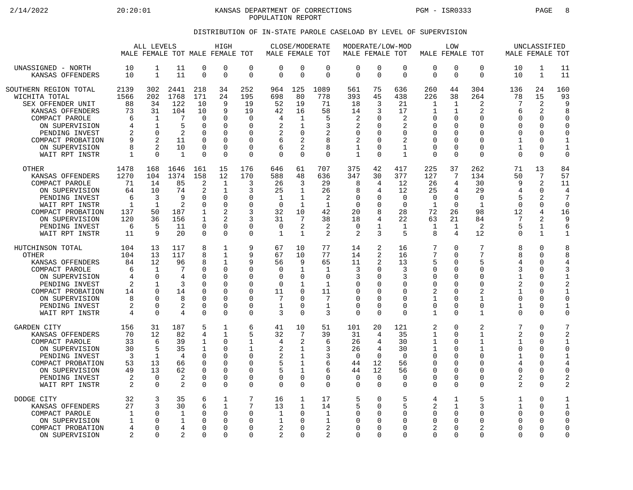2/14/2022 20:20:01 KANSAS DEPARTMENT OF CORRECTIONS PGM - ISR0333 PAGE 8 POPULATION REPORT

## DISTRIBUTION OF IN-STATE PAROLE CASELOAD BY LEVEL OF SUPERVISION

|                                                                                                                                                                                                | ALL LEVELS<br>MALE FEMALE TOT MALE FEMALE TOT                 |                                                                                                                   |                                                                       |                                                                                       | HIGH                                                                                                     |                                                                                  | MALE FEMALE TOT                                                                    |                                                                                | CLOSE/MODERATE                                                                      | MALE FEMALE TOT                                                                                     |                                                                                    | MODERATE/LOW-MOD                                                                   | MALE FEMALE TOT                                                                           | LOW                                                                                                              |                                                                                                                        | MALE FEMALE TOT                                                                                                           | UNCLASSIFIED                                                                                                 |                                                                                              |
|------------------------------------------------------------------------------------------------------------------------------------------------------------------------------------------------|---------------------------------------------------------------|-------------------------------------------------------------------------------------------------------------------|-----------------------------------------------------------------------|---------------------------------------------------------------------------------------|----------------------------------------------------------------------------------------------------------|----------------------------------------------------------------------------------|------------------------------------------------------------------------------------|--------------------------------------------------------------------------------|-------------------------------------------------------------------------------------|-----------------------------------------------------------------------------------------------------|------------------------------------------------------------------------------------|------------------------------------------------------------------------------------|-------------------------------------------------------------------------------------------|------------------------------------------------------------------------------------------------------------------|------------------------------------------------------------------------------------------------------------------------|---------------------------------------------------------------------------------------------------------------------------|--------------------------------------------------------------------------------------------------------------|----------------------------------------------------------------------------------------------|
| UNASSIGNED - NORTH<br>KANSAS OFFENDERS                                                                                                                                                         | 10<br>10                                                      | 1<br>$\mathbf{1}$                                                                                                 | 11<br>11                                                              | $\mathbf 0$<br>$\Omega$                                                               | $\mathbf 0$<br>$\Omega$                                                                                  | 0<br>$\overline{0}$                                                              | $\mathbf 0$<br>$\Omega$                                                            | $\mathbf 0$<br>$\Omega$                                                        | 0<br>$\Omega$                                                                       | $\mathbf 0$<br>$\Omega$                                                                             | $\mathbf 0$<br>$\mathbf 0$                                                         | $\mathbf 0$<br>$\Omega$                                                            | $\mathbf 0$<br>$\Omega$                                                                   | 0<br>$\Omega$                                                                                                    | $\mathbf 0$<br>$\Omega$                                                                                                | 10<br>10                                                                                                                  | 1<br>$\mathbf{1}$                                                                                            | 11<br>11                                                                                     |
| SOUTHERN REGION TOTAL<br>WICHITA TOTAL<br>SEX OFFENDER UNIT<br>KANSAS OFFENDERS<br>COMPACT PAROLE<br>ON SUPERVISION<br>PENDING INVEST<br>COMPACT PROBATION<br>ON SUPERVISION<br>WAIT RPT INSTR | 2139<br>1566<br>88<br>73<br>6<br>4<br>9<br>8<br>1             | 302<br>202<br>34<br>31<br>$\mathbf 1$<br>$\mathbf{1}$<br>$\Omega$<br>$\mathfrak{D}$<br>$\overline{2}$<br>$\Omega$ | 2441<br>1768<br>122<br>104<br>7<br>5<br>2<br>11<br>10<br>$\mathbf{1}$ | 218<br>171<br>10<br>10<br>$\Omega$<br>$\Omega$<br>0<br>O<br>0<br>O                    | 34<br>24<br>9<br>9<br>$\Omega$<br>$\Omega$<br>$\Omega$<br>O<br>$\Omega$<br>$\Omega$                      | 252<br>195<br>19<br>19<br>$\Omega$<br>$\Omega$<br>0<br>$\Omega$<br>0<br>$\Omega$ | 964<br>698<br>52<br>42<br>4<br>2<br>2<br>6<br>6<br>$\Omega$                        | 125<br>80<br>19<br>16<br>1<br>$\mathbf{1}$<br>0<br>2<br>2<br>$\Omega$          | 1089<br>778<br>71<br>58<br>5<br>3<br>2<br>8<br>8<br>$\Omega$                        | 561<br>393<br>18<br>14<br>$\overline{2}$<br>2<br>$\mathbf 0$<br>$\overline{2}$<br>1<br>$\mathbf{1}$ | 75<br>45<br>3<br>3<br>$\Omega$<br>$\Omega$<br>0<br><sup>0</sup><br>0<br>$\Omega$   | 636<br>438<br>21<br>17<br>2<br>2<br>$\Omega$<br>2<br>$\mathbf 1$<br>$\mathbf{1}$   | 260<br>226<br>1<br>1<br>$\Omega$<br>$\Omega$<br>0<br>$\Omega$<br>$\Omega$<br>$\Omega$     | 44<br>38<br>1<br>1<br>$\Omega$<br>$\Omega$<br>$\Omega$<br>$\Omega$<br>$\mathbf 0$<br>$\Omega$                    | 304<br>264<br>$\overline{2}$<br>2<br>$\Omega$<br>$\Omega$<br>$\Omega$<br>$\Omega$<br>$\mathbf 0$<br>$\Omega$           | 136<br>78<br>7<br>6<br>$\Omega$<br>$\Omega$<br>$\Omega$<br>$\mathbf{1}$<br>$\mathbf{1}$<br>$\Omega$                       | 24<br>15<br>$\overline{2}$<br>2<br>$\Omega$<br><sup>0</sup><br>0<br><sup>0</sup><br>0<br>$\Omega$            | 160<br>93<br>9<br>$\mathsf{R}$<br>$\Omega$<br>∩<br>$\Omega$<br>1<br>$\mathbf{1}$<br>$\Omega$ |
| OTHER<br>KANSAS OFFENDERS<br>COMPACT PAROLE<br>ON SUPERVISION<br>PENDING INVEST<br>WAIT RPT INSTR<br>COMPACT PROBATION<br>ON SUPERVISION<br>PENDING INVEST<br>WAIT RPT INSTR                   | 1478<br>1270<br>71<br>64<br>6<br>1<br>137<br>120<br>6<br>11   | 168<br>104<br>14<br>10<br>3<br>1<br>50<br>36<br>5<br>9                                                            | 1646<br>1374<br>85<br>74<br>9<br>2<br>187<br>156<br>11<br>20          | 161<br>158<br>2<br>2<br>0<br>$\Omega$<br>1<br>$\mathbf{1}$<br>$\mathbf 0$<br>$\Omega$ | 15<br>12<br>1<br>1<br>$\mathbf 0$<br>$\Omega$<br>$\overline{c}$<br>2<br>$\Omega$<br>$\Omega$             | 176<br>170<br>3<br>3<br>0<br>0<br>3<br>3<br>0<br>$\Omega$                        | 646<br>588<br>26<br>25<br>1<br>$\Omega$<br>32<br>31<br>$\mathbf 0$<br>$\mathbf{1}$ | 61<br>48<br>3<br>1<br>1<br>1<br>10<br>7<br>2<br>$\mathbf{1}$                   | 707<br>636<br>29<br>26<br>2<br>1<br>42<br>38<br>2<br>2                              | 375<br>347<br>8<br>8<br>$\Omega$<br>$\Omega$<br>20<br>18<br>$\mathbf 0$<br>2                        | 42<br>30<br>4<br>4<br>0<br>O<br>8<br>4<br>$\mathbf{1}$<br>3                        | 417<br>377<br>12<br>12<br>$\mathbf 0$<br>$\Omega$<br>28<br>22<br>$\mathbf 1$<br>5  | 225<br>127<br>26<br>25<br>$\Omega$<br>1<br>72<br>63<br>1<br>8                             | 37<br>7<br>4<br>4<br>$\mathbf 0$<br>$\Omega$<br>26<br>21<br>$\mathbf 1$<br>4                                     | 262<br>134<br>30<br>29<br>$\mathbf 0$<br>1<br>98<br>84<br>2<br>12                                                      | 71<br>50<br>9<br>4<br>5<br>$\Omega$<br>12<br>7<br>5<br>$\Omega$                                                           | 13<br>7<br>$\overline{2}$<br>0<br>$\overline{a}$<br>0<br>4<br>$\overline{a}$<br>$\mathbf{1}$<br>$\mathbf{1}$ | 84<br>57<br>11<br>$\overline{4}$<br>7<br>$\Omega$<br>16<br>9<br>6                            |
| HUTCHINSON TOTAL<br><b>OTHER</b><br>KANSAS OFFENDERS<br>COMPACT PAROLE<br>ON SUPERVISION<br>PENDING INVEST<br>COMPACT PROBATION<br>ON SUPERVISION<br>PENDING INVEST<br>WAIT RPT INSTR          | 104<br>104<br>84<br>6<br>4<br>2<br>14<br>8<br>2<br>4          | 13<br>13<br>12<br>$\mathbf 1$<br>$\Omega$<br>1<br>$\Omega$<br>∩<br>$\Omega$<br>$\Omega$                           | 117<br>117<br>96<br>7<br>4<br>3<br>14<br>8<br>2<br>4                  | 8<br>8<br>8<br>0<br>O<br>O<br>$\mathbf 0$<br>O<br>0<br>$\Omega$                       | 1<br>$\mathbf{1}$<br>1<br>$\Omega$<br>$\Omega$<br>$\cap$<br>$\Omega$<br>$\Omega$<br>$\Omega$<br>$\Omega$ | 9<br>9<br>9<br>0<br>0<br>0<br>$\Omega$<br>$\Omega$<br>0<br>$\Omega$              | 67<br>67<br>56<br>0<br>0<br>$\mathbf 0$<br>11<br>7<br>$\mathbf 1$<br>3             | 10<br>10<br>9<br>1<br>0<br>1<br>0<br>U<br>$\mathbf 0$<br>$\Omega$              | 77<br>77<br>65<br>$\mathbf{1}$<br>0<br>$\mathbf{1}$<br>11<br>7<br>$\mathbf{1}$<br>3 | 14<br>14<br>11<br>3<br>3<br>0<br>$\mathbf 0$<br>$\Omega$<br>$\mathbf 0$<br>$\Omega$                 | 2<br>2<br>2<br>0<br>$\Omega$<br>0<br><sup>0</sup><br><sup>0</sup><br>0<br>$\Omega$ | 16<br>16<br>13<br>3<br>3<br>$\Omega$<br>$\Omega$<br>$\cap$<br>$\Omega$<br>$\Omega$ | 7<br>7<br>5<br>$\Omega$<br>O<br>∩<br>$\overline{2}$<br>1<br>$\Omega$<br>$\mathbf{1}$      | $\Omega$<br>$\Omega$<br>$\Omega$<br>0<br>$\Omega$<br>$\Omega$<br>$\Omega$<br>$\Omega$<br>$\mathbf 0$<br>$\Omega$ | 7<br>7<br>5<br>$\mathbf 0$<br>$\Omega$<br>$\mathbf 0$<br>$\overline{2}$<br>$\mathbf{1}$<br>$\mathbf 0$<br>$\mathbf{1}$ | 8<br>8<br>4<br>3<br>$\mathbf{1}$<br>2<br>$\mathbf{1}$<br>$\Omega$<br>$\mathbf{1}$<br>$\Omega$                             | 0<br>0<br><sup>0</sup><br>0<br>0<br>O<br>0<br><sup>0</sup><br>0<br>$\Omega$                                  | 8<br>8<br>4<br>3<br>1<br>2<br>$\mathbf{1}$<br>$\Omega$<br>$\Omega$                           |
| <b>GARDEN CITY</b><br>KANSAS OFFENDERS<br>COMPACT PAROLE<br>ON SUPERVISION<br>PENDING INVEST<br>COMPACT PROBATION<br>ON SUPERVISION<br>PENDING INVEST<br>WAIT RPT INSTR                        | 156<br>70<br>33<br>30<br>3<br>53<br>49<br>2<br>$\overline{2}$ | 31<br>12<br>6<br>5<br>1<br>13<br>13<br>$\Omega$<br>$\Omega$                                                       | 187<br>82<br>39<br>35<br>4<br>66<br>62<br>2<br>2                      | 5<br>4<br>1<br>1<br>$\Omega$<br>0<br>O<br>0<br>$\Omega$                               | 1<br>$\mathbf{1}$<br>$\Omega$<br>$\Omega$<br>$\Omega$<br>0<br>$\Omega$<br>$\Omega$<br>$\Omega$           | 6<br>5<br>1<br>1<br>0<br>0<br>$\Omega$<br>0<br>$\Omega$                          | 41<br>32<br>4<br>2<br>2<br>5<br>5<br>0<br>$\mathbf 0$                              | 10<br>7<br>2<br>$\mathbf{1}$<br>1<br>$\mathbf{1}$<br>1<br>$\Omega$<br>$\Omega$ | 51<br>39<br>6<br>3<br>3<br>6<br>6<br>$\mathbf 0$<br>$\Omega$                        | 101<br>31<br>26<br>26<br>$\Omega$<br>44<br>44<br>$\Omega$<br>$\mathbf 0$                            | 20<br>4<br>4<br>4<br>$\Omega$<br>12<br>12<br>0<br>$\Omega$                         | 121<br>35<br>30<br>30<br>$\Omega$<br>56<br>56<br>$\Omega$<br>$\Omega$              | $\overline{2}$<br>1<br>1<br>1<br>$\Omega$<br>$\Omega$<br>$\Omega$<br>$\Omega$<br>$\Omega$ | $\Omega$<br>$\Omega$<br>$\Omega$<br>$\Omega$<br>$\Omega$<br>0<br>$\Omega$<br>0<br>$\Omega$                       | 2<br>1<br>1<br>1<br>$\Omega$<br>$\mathbf 0$<br>$\Omega$<br>$\Omega$<br>$\Omega$                                        | 7<br>$\overline{2}$<br>$\mathbf{1}$<br>$\mathbf 0$<br>1<br>$\overline{4}$<br>$\Omega$<br>$\overline{2}$<br>$\overline{2}$ | <sup>0</sup><br>$\Omega$<br>0<br>0<br><sup>0</sup><br><sup>0</sup><br>$\Omega$<br><sup>0</sup><br>$\Omega$   | 1<br>$\Omega$<br>4<br>$\Omega$<br>2                                                          |
| DODGE CITY<br>KANSAS OFFENDERS<br>COMPACT PAROLE<br>ON SUPERVISION<br>COMPACT PROBATION<br>ON SUPERVISION                                                                                      | 32<br>27<br>1<br>1<br>4<br>$\overline{2}$                     | 3<br>3<br>$\Omega$<br>$\Omega$<br>$\Omega$<br>$\Omega$                                                            | 35<br>30<br>1<br>1<br>4<br>2                                          | 6<br>6<br>0<br>O<br>O<br>O                                                            | 1<br>$\mathbf{1}$<br>$\Omega$<br>$\Omega$<br>$\Omega$<br>$\Omega$                                        | 7<br>7<br>0<br>0<br>0<br>0                                                       | 16<br>13<br>1<br>1<br>2<br>2                                                       | 1<br>$\mathbf{1}$<br>$\Omega$<br>O<br>O<br>O                                   | 17<br>14<br>1<br>1<br>$\overline{2}$<br>2                                           | 5<br>5<br>$\mathbf 0$<br>$\Omega$<br>$\mathbf 0$<br>$\Omega$                                        | 0<br>$\Omega$<br>0<br><sup>0</sup><br>0<br><sup>0</sup>                            | 5<br>5<br>$\Omega$<br>$\Omega$<br>$\Omega$<br>$\Omega$                             | 4<br>2<br>$\Omega$<br>$\Omega$<br>2<br>$\Omega$                                           | 1<br>$\mathbf{1}$<br>0<br>$\Omega$<br>$\mathbf 0$<br>$\Omega$                                                    | 5<br>ζ<br>$\mathbf 0$<br>$\Omega$<br>2<br>$\mathbf 0$                                                                  | $\mathbf 1$<br>1<br>$\mathbf 0$<br>$\Omega$<br>$\Omega$<br>$\Omega$                                                       | 0<br>$\Omega$<br>0<br><sup>0</sup><br>0<br><sup>0</sup>                                                      | 1<br>$\Omega$<br>$\Omega$<br>$\Omega$<br>$\Omega$                                            |